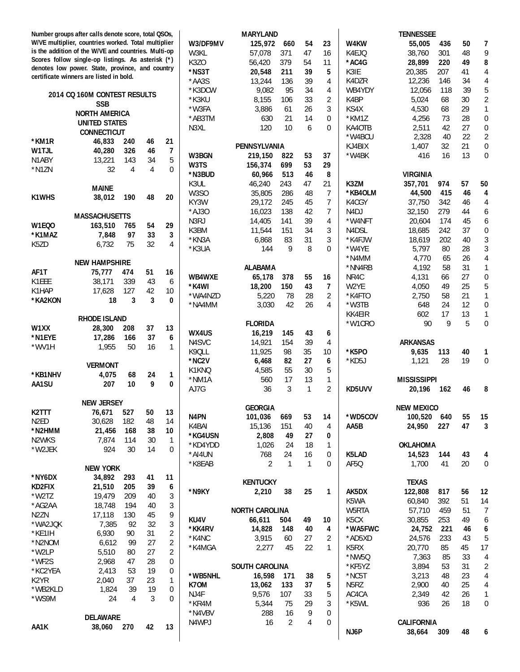|                   | Number groups after calls denote score, total QSOs,                                                      |          |         |                          |                    | <b>MARYLAND</b>          |                |              |                |                                | <b>TENNESSEE</b>   |          |          |                                      |
|-------------------|----------------------------------------------------------------------------------------------------------|----------|---------|--------------------------|--------------------|--------------------------|----------------|--------------|----------------|--------------------------------|--------------------|----------|----------|--------------------------------------|
|                   | W/VE multiplier, countries worked. Total multiplier                                                      |          |         |                          | W3/DF9MV           | 125,972                  | 660            | 54           | 23             | W4KW                           | 55,005             | 436      | 50       | 7                                    |
|                   | is the addition of the W/VE and countries. Multi-op<br>Scores follow single-op listings. As asterisk (*) |          |         |                          | W3KL               | 57,078                   | 371            | 47           | 16             | K4EJQ                          | 38,760             | 301      | 48       | 9                                    |
|                   | denotes low power. State, province, and country                                                          |          |         |                          | K3ZO               | 56,420                   | 379            | 54           | 11             | *AC4G                          | 28,899             | 220      | 49       | 8                                    |
|                   | certificate winners are listed in bold.                                                                  |          |         |                          | *NS3T              | 20,548                   | 211            | 39           | 5              | K3IE                           | 20,385             | 207      | 41       | 4                                    |
|                   |                                                                                                          |          |         |                          | *AA3S              | 13,244                   | 136            | 39           | 4              | K4DZR                          | 12,236             | 146      | 34       | $\overline{4}$                       |
|                   | 2014 CQ 160M CONTEST RESULTS                                                                             |          |         |                          | *K3DCW             | 9,082                    | 95             | 34           | 4              | WB4YDY                         | 12,056             | 118      | 39       | 5                                    |
|                   | <b>SSB</b>                                                                                               |          |         |                          | *K3KU              | 8,155                    | 106            | 33           | 2              | K4BP                           | 5,024              | 68       | 30       | $\overline{2}$                       |
|                   | <b>NORTH AMERICA</b>                                                                                     |          |         |                          | *W3FA              | 3,886                    | 61             | 26           | 3              | KS4X                           | 4,530              | 68       | 29       | $\mathbf{1}$                         |
|                   | <b>UNITED STATES</b>                                                                                     |          |         |                          | *AB3TM<br>N3XL     | 630<br>120               | 21<br>10       | 14<br>6      | $\Omega$<br>0  | *KM1Z<br>KA40TB                | 4,256              | 73<br>42 | 28<br>27 | $\boldsymbol{0}$<br>$\boldsymbol{0}$ |
|                   | <b>CONNECTICUT</b>                                                                                       |          |         |                          |                    |                          |                |              |                | *W4BCU                         | 2,511<br>2,328     | 40       | 22       | $\overline{2}$                       |
| *KM1R             | 46,833                                                                                                   | 240      | 46      | 21                       |                    | PENNSYLVANIA             |                |              |                | KJ4BIX                         | 1,407              | 32       | 21       | $\boldsymbol{0}$                     |
| W1TJL             | 40,280                                                                                                   | 326      | 46      | $\overline{\phantom{a}}$ | W3BGN              | 219,150                  | 822            | 53           | 37             | *W4BK                          | 416                | 16       | 13       | $\overline{0}$                       |
| N1ABY             | 13,221                                                                                                   | 143      | 34      | 5                        | W3TS               | 156,374                  | 699            | 53           | 29             |                                |                    |          |          |                                      |
| *N1ZN             | 32                                                                                                       | 4        | 4       | $\Omega$                 | *N3BUD             | 60,966                   | 513            | 46           | 8              |                                | <b>VIRGINIA</b>    |          |          |                                      |
|                   |                                                                                                          |          |         |                          | K3UL               | 46,240                   | 243            | 47           | 21             | K3ZM                           | 357,701            | 974      | 57       | 50                                   |
|                   | MAINE                                                                                                    |          |         |                          | W3SO               | 35,805                   | 286            | 48           | 7              | *KB4OLM                        | 44,500             | 415      | 46       | 4                                    |
| <b>K1WHS</b>      | 38,012                                                                                                   | 190      | 48      | 20                       | KY3W               | 29,172                   | 245            | 45           | 7              | K4CGY                          | 37,750             | 342      | 46       | 4                                    |
|                   |                                                                                                          |          |         |                          | $*$ AJ30           | 16,023                   | 138            | 42           | 7              | N <sub>4</sub> DJ              | 32,150             | 279      | 44       | $\boldsymbol{6}$                     |
|                   | <b>MASSACHUSETTS</b>                                                                                     |          |         |                          | N3RJ               | 14,405                   | 141            | 39           | 4              | *W4NFT                         | 20,604             | 174      | 45       | $\boldsymbol{6}$                     |
| W1EQ0             | 163,510                                                                                                  | 765      | 54      | 29                       | K3BM               | 11,544                   | 151            | 34           | 3              | N <sub>4</sub> D <sub>SL</sub> | 18,685             | 242      | 37       | $\boldsymbol{0}$                     |
| *K1MAZ            | 7,848                                                                                                    | 97       | 33      | 3                        | *KN3A              | 6,868                    | 83             | 31           | 3              | *K4FJW                         | 18,619             | 202      | 40       | $\mathfrak{Z}$                       |
| K5ZD              | 6,732                                                                                                    | 75       | 32      | 4                        | *K3UA              | 144                      | 9              | 8            | 0              | *W4YE                          | 5,797              | 80       | 28       | $\mathfrak{Z}$                       |
|                   |                                                                                                          |          |         |                          |                    |                          |                |              |                | *N4MM                          | 4,770              | 65       | 26       | $\overline{4}$                       |
|                   | <b>NEW HAMPSHIRE</b>                                                                                     |          |         |                          |                    | <b>ALABAMA</b>           |                |              |                | *NN4RB                         | 4,192              | 58       | 31       | $\mathbf{1}$                         |
| AF1T              | 75,777                                                                                                   | 474      | 51      | 16                       | WB4WXE             | 65,178                   | 378            | 55           | 16             | NR4C                           | 4,131              | 66       | 27       | $\boldsymbol{0}$                     |
| K1EEE             | 38,171                                                                                                   | 339      | 43      | 6                        | *K4WI              | 18,200                   | 150            | 43           | 7              | W2YE                           | 4,050              | 49       | 25       | $\sqrt{5}$                           |
| K1HAP             | 17,628                                                                                                   | 127      | 42      | 10                       | *WA4NZD            | 5,220                    | 78             | 28           | 2              | *K4FTO                         | 2,750              | 58       | 21       | $\mathbf{1}$                         |
| *KA2KON           | 18                                                                                                       | 3        | 3       | 0                        | *NA4MM             | 3,030                    | 42             | 26           | 4              | *W3TB                          | 648                | 24       | 12       | $\boldsymbol{0}$                     |
|                   |                                                                                                          |          |         |                          |                    |                          |                |              |                | KK4EIR                         | 602                | 17       | 13       | 1                                    |
|                   | <b>RHODE ISLAND</b>                                                                                      |          |         |                          |                    | <b>FLORIDA</b>           |                |              |                | *W1CRO                         | 90                 | 9        | 5        | $\boldsymbol{0}$                     |
| W1XX              | 28,300                                                                                                   | 208      | 37      | 13                       | WX4US              | 16,219                   | 145            | 43           | 6              |                                |                    |          |          |                                      |
| *N1EYE            | 17,286                                                                                                   | 166      | 37      | 6                        | N4SVC              | 14,921                   | 154            | 39           | 4              |                                | <b>ARKANSAS</b>    |          |          |                                      |
| *WV1H             | 1,955                                                                                                    | 50       | 16      | $\mathbf{1}$             | K9QLL              | 11,925                   | 98             | 35           | 10             | *K5PO                          | 9,635              | 113      | 40       | 1                                    |
|                   |                                                                                                          |          |         |                          | *NC <sub>2</sub> V | 6,468                    | 82             | 27           | 6              | *KD5J                          | 1,121              | 28       | 19       | $\boldsymbol{0}$                     |
|                   | <b>VERMONT</b>                                                                                           |          |         |                          | K1KNQ              | 4,585                    | 55             | 30           | 5              |                                |                    |          |          |                                      |
| *KB1NHV<br>AA1SU  | 4,075                                                                                                    | 68<br>10 | 24<br>9 | $\mathbf{1}$<br>$\bf{0}$ | *NM1A              | 560                      | 17             | 13           | $\mathbf{1}$   |                                | <b>MISSISSIPPI</b> |          |          |                                      |
|                   | 207                                                                                                      |          |         |                          | AJ7G               | 36                       | 3              | $\mathbf{1}$ | $\overline{2}$ | KD5UVV                         | 20,196             | 162      | 46       | 8                                    |
|                   | <b>NEW JERSEY</b>                                                                                        |          |         |                          |                    |                          |                |              |                |                                |                    |          |          |                                      |
| K2TTT             | 76,671                                                                                                   | 527      | 50      | 13                       |                    | <b>GEORGIA</b>           |                |              |                |                                | <b>NEW MEXICO</b>  |          |          |                                      |
| N2ED              | 30,628                                                                                                   | 182      | 48      | 14                       | N4PN               | 101,036                  | 669            | 53           | 14             | *WD5COV                        | 100,520            | 640      | 55       | 15                                   |
| *N2HMM            | 21,456                                                                                                   | 168      | 38      | 10                       | K4BAI              | 15,136                   | 151            | 40           | 4              | AA5B                           | 24,950             | 227      | 47       | 3                                    |
| N2WKS             | 7,874                                                                                                    | 114      | 30      | $\mathbf{1}$             | *KG4USN            | 2,808                    | 49             | 27           | 0              |                                |                    |          |          |                                      |
| *W2JEK            | 924                                                                                                      | 30       | 14      | 0                        | *KD4YDD            | 1,026                    | 24             | 18           | 1              |                                | <b>OKLAHOMA</b>    |          |          |                                      |
|                   |                                                                                                          |          |         |                          | *AI4UN             | 768                      | 24             | 16           | 0              | K5LAD                          | 14,523             | 144      | 43       | 4                                    |
|                   | <b>NEW YORK</b>                                                                                          |          |         |                          | *K8EAB             | 2                        | 1              | $\mathbf{1}$ | 0              | AF5Q                           | 1,700              | 41       | 20       | 0                                    |
| *NY6DX            | 34,892                                                                                                   | 293      | 41      | 11                       |                    |                          |                |              |                |                                |                    |          |          |                                      |
| KD2FIX            | 21,510                                                                                                   | 205      | 39      | 6                        |                    | <b>KENTUCKY</b>          |                |              |                |                                | <b>TEXAS</b>       |          |          |                                      |
| $*$ W2TZ          | 19,479                                                                                                   | 209      | 40      | 3                        | *N9KY              | 2,210                    | 38             | 25           | 1              | AK5DX                          | 122,808            | 817      | 56       | 12                                   |
| *AG2AA            | 18,748                                                                                                   | 194      | 40      | 3                        |                    |                          |                |              |                | K5WA                           | 60,840             | 392      | 51       | 14                                   |
| N <sub>2</sub> ZN | 17,118                                                                                                   | 130      | 45      | 9                        |                    | <b>NORTH CAROLINA</b>    |                |              |                | W5RTA                          | 57,710             | 459      | 51       | $\overline{7}$                       |
| *WA2JQK           | 7,385                                                                                                    | 92       | 32      | 3                        | KU4V               | 66,611                   | 504            | 49           | 10             | K <sub>5</sub> CX              | 30,855             | 253      | 49       | 6                                    |
| *KE1IH            | 6,930                                                                                                    | 90       | 31      | $\overline{\mathbf{c}}$  | *KK4RV             | 14,828                   | 148            | 40           | 4              | *WA5FWC                        | 24,752             | 221      | 46       | 6                                    |
| *N2NOM            | 6,612                                                                                                    | 99       | 27      | $\overline{\mathbf{c}}$  | *K4NC              | 3,915                    | 60             | 27           | 2              | *AD5XD                         | 24,576             | 233      | 43       | 5                                    |
| *W2LP             | 5,510                                                                                                    | 80       | 27      | 2                        | *K4MGA             | 2,277                    | 45             | 22           | 1              | K5RX                           | 20,770             | 85       | 45       | 17                                   |
| *WF2S             | 2,968                                                                                                    | 47       | 28      | 0                        |                    |                          |                |              |                | *NW5Q                          | 7,363              | 85       | 33       | 4                                    |
| *KC2YEA           | 2,413                                                                                                    | 53       | 19      | 0                        | *WB5NHL            | SOUTH CAROLINA<br>16,598 | 171            |              |                | *KF5YZ                         | 3,894              | 53<br>48 | 31<br>23 | $\overline{2}$                       |
| K <sub>2</sub> YR | 2,040                                                                                                    | 37       | 23      | 1                        | K70M               | 13,062                   | 133            | 38<br>37     | 5              | *NC5T<br>N5RZ                  | 3,213<br>2,900     | 40       | 25       | 4<br>4                               |
| *WB2KLD           | 1,824                                                                                                    | 39       | 19      | 0                        | NJ4F               | 9,576                    | 107            | 33           | 5<br>5         | AC4CA                          | 2,349              | 42       | 26       | 1                                    |
| *WS9M             | 24                                                                                                       | 4        | 3       | 0                        | *KR4M              | 5,344                    | 75             | 29           | 3              | *K5WL                          | 936                | 26       | 18       | 0                                    |
|                   |                                                                                                          |          |         |                          | *N4VBV             | 288                      | 16             | 9            | 0              |                                |                    |          |          |                                      |
|                   | <b>DELAWARE</b>                                                                                          |          |         |                          | N4WPJ              | 16                       | $\overline{2}$ | 4            | 0              |                                | <b>CALIFORNIA</b>  |          |          |                                      |
| AA1K              | 38,060                                                                                                   | 270      | 42      | 13                       |                    |                          |                |              |                | NJ6P                           | 38,664             | 309      | 48       | 6                                    |
|                   |                                                                                                          |          |         |                          |                    |                          |                |              |                |                                |                    |          |          |                                      |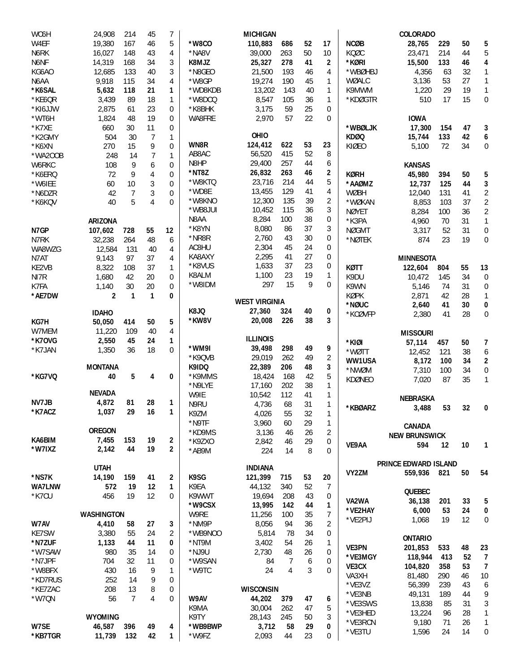| WC6H    | 24,908            | 214            | 45             | 7              |                 | <b>MICHIGAN</b>      |          |          |                |               | <b>COLORADO</b>             |     |          |                                  |
|---------|-------------------|----------------|----------------|----------------|-----------------|----------------------|----------|----------|----------------|---------------|-----------------------------|-----|----------|----------------------------------|
| W4EF    | 19,380            | 167            | 46             | 5              | *W8CO           | 110,883              | 686      | 52       | 17             | <b>NCØB</b>   | 28,765                      | 229 | 50       | 5                                |
| N6RK    | 16,027            | 148            | 43             | 4              | *NA8V           | 39,000               | 263      | 50       | 10             | KOØC          | 23,471                      | 214 | 44       | 5                                |
| N6NF    | 14,319            | 168            | 34             | 3              | K8MJZ           | 25,327               | 278      | 41       | 2              | *KØRI         | 15,500                      | 133 | 46       | 4                                |
| KG6AO   | 12,685            | 133            | 40             | 3              | *N8GEO          | 21,500               | 193      | 46       | 4              | *WBØHBJ       | 4,356                       | 63  | 32       | 1                                |
| N6AA    | 9,918             | 115            | 34             | 4              | *W8GP           | 19,274               | 190      | 45       | 1              | WØALC         | 3,136                       | 53  | 27       | $\mathbf{1}$                     |
| *K6SAL  | 5,632             | 118            | 21             | 1              | *WD8KDB         | 13,202               | 143      | 40       | $\mathbf{1}$   | K9MWM         | 1,220                       | 29  | 19       | $\mathbf{1}$                     |
| *KE6QR  | 3,439             | 89             | 18             | 1              | *W8DCQ          | 8,547                | 105      | 36       | 1              | *KDØGTR       | 510                         | 17  | 15       | $\boldsymbol{0}$                 |
| *KI6JJW | 2,875             | 61             | 23             | 0              | *K8BHK          | 3,175                | 59       | 25       | 0              |               |                             |     |          |                                  |
| *WT6H   | 1,824             | 48             | 19             | 0              | WA8FRE          | 2,970                | 57       | 22       | 0              |               | <b>IOWA</b>                 |     |          |                                  |
| *K7XE   | 660               | 30             | 11             | 0              |                 |                      |          |          |                | *WBØLJK       | 17,300                      | 154 | 47       | 3                                |
| *K2GMY  | 504               | 30             | 7              | 1              |                 | OHIO                 |          |          |                | <b>KDØQ</b>   | 15,744                      | 133 | 42       | 6                                |
| *K6XN   | 270               | 15             | 9              | 0              | WN8R            | 124,412              | 622      | 53       | 23             | KIØEO         | 5,100                       | 72  | 34       | 0                                |
| *WA200B | 248               | 14             | $\overline{7}$ | $\mathbf{1}$   | AB8AC           | 56,520               | 415      | 52       | 8              |               |                             |     |          |                                  |
| W6RKC   | 108               | 9              | 6              | $\mathbf 0$    | N8HP            | 29,400               | 257      | 44       | 6              |               | <b>KANSAS</b>               |     |          |                                  |
| *K6ERQ  | 72                | 9              | 4              | 0              | *NT8Z           | 26,832               | 263      | 46       | 2              | <b>KØRH</b>   | 45,980                      | 394 | 50       | 5                                |
| *W6IEE  | 60                | 10             | 3              | $\mathbf 0$    | *W8KTQ          | 23,716               | 214      | 44       | 5              | *AAØMZ        | 12,737                      | 125 | 44       | 3                                |
| *N6DZR  | 42                | $\overline{7}$ | 3              | $\mathbf 0$    | *WD8E           | 13,455               | 129      | 41       | 4              | <b>WØBH</b>   | 12,040                      | 131 | 41       | $\sqrt{2}$                       |
| *K6KQV  | 40                | 5              | 4              | $\mathbf 0$    | *W8KNO          | 12,300               | 135      | 39       | 2              | *WØKAN        | 8,853                       | 103 | 37       | $\overline{2}$                   |
|         |                   |                |                |                | *WB8JUI         | 10,452               | 115      | 36       | 3              | <b>NØYET</b>  | 8,284                       | 100 | 36       | $\overline{2}$                   |
|         | <b>ARIZONA</b>    |                |                |                | N8AA<br>*K8YN   | 8,284                | 100      | 38       | 0              | *K3PA         | 4,960                       | 70  | 31       | $\mathbf{1}$                     |
| N7GP    | 107,602           | 728            | 55             | 12             |                 | 8,080                | 86       | 37       | 3              | <b>NØGMT</b>  | 3,317                       | 52  | 31       | $\boldsymbol{0}$                 |
| N7RK    | 32,238            | 264            | 48             | 6              | *NR8R           | 2,760                | 43       | 30       | 0              | *NØTEK        | 874                         | 23  | 19       | 0                                |
| WA8WZG  | 12,584            | 131            | 40             | 4              | AC8HU<br>KA8AXY | 2,304                | 45       | 24<br>27 | 0              |               |                             |     |          |                                  |
| N7AT    | 9,143             | 97             | 37             | 4              |                 | 2,295                | 41       |          | 0              |               | <b>MINNESOTA</b>            |     |          |                                  |
| KE2VB   | 8,322             | 108            | 37             | 1              | *K8VUS          | 1,633                | 37       | 23       | 0              | KØTT          | 122,604                     | 804 | 55       | 13                               |
| NI7R    | 1,680             | 42             | 20             | 0              | K8ALM<br>*W8IDM | 1,100<br>297         | 23<br>15 | 19<br>9  | 1<br>0         | K9DU          | 10,472                      | 145 | 34       | $\boldsymbol{0}$                 |
| K7FA    | 1,140             | 30             | 20             | 0              |                 |                      |          |          |                | K9WN          | 5,146                       | 74  | 31       | 0                                |
| *AE7DW  | 2                 | $\mathbf{1}$   | 1              | 0              |                 | <b>WEST VIRGINIA</b> |          |          |                | <b>KØPK</b>   | 2,871                       | 42  | 28       | 1                                |
|         | <b>IDAHO</b>      |                |                |                | K8JQ            | 27,360               | 324      | 40       | 0              | *NØUC         | 2,640                       | 41  | 30       | $\pmb{0}$                        |
| KG7H    | 50,050            | 414            | 50             | 5              | *KW8V           | 20,008               | 226      | 38       | 3              | *KCØVFP       | 2,380                       | 41  | 28       | 0                                |
| W7MEM   | 11,220            | 109            | 40             | 4              |                 |                      |          |          |                |               |                             |     |          |                                  |
| *K70VG  | 2,550             | 45             | 24             | 1              |                 | <b>ILLINOIS</b>      |          |          |                |               | <b>MISSOURI</b>             |     |          |                                  |
| *K7JAN  | 1,350             | 36             | 18             | $\mathbf 0$    | *WM9I           | 39,498               | 298      | 49       | 9              | *KIØI         | 57,114                      | 457 | 50       | 7                                |
|         |                   |                |                |                | *K9QVB          | 29,019               | 262      | 49       | $\overline{2}$ | *WØTT         | 12,452                      | 121 | 38       | 6                                |
|         | <b>MONTANA</b>    |                |                |                | K9IDQ           | 22,389               | 206      | 48       | 3              | WW1USA        | 8,172                       | 100 | 34       | 2                                |
| *KG7VQ  | 40                | 5              | 4              | 0              | *K9MMS          | 18,424               | 168      | 42       | 5              | *NWØM         | 7,310                       | 100 | 34<br>35 | $\boldsymbol{0}$<br>$\mathbf{1}$ |
|         |                   |                |                |                | *N9LYE          | 17,160               | 202      | 38       | $\mathbf{1}$   | <b>KDØNEO</b> | 7,020                       | 87  |          |                                  |
|         | <b>NEVADA</b>     |                |                |                | W9IE            | 10,542               | 112      | 41       | $\mathbf{1}$   |               | <b>NEBRASKA</b>             |     |          |                                  |
| NV7JB   | 4,872             | 81             | 28             | 1              | N9RU            | 4,736                | 68       | 31       | 1              | *KBØARZ       |                             |     | 32       |                                  |
| *K7ACZ  | 1,037             | 29             | 16             | 1              | K9ZM            | 4,026                | 55       | 32       | 1              |               | 3,488                       | 53  |          | 0                                |
|         |                   |                |                |                | *N9TF           | 3,960                | 60       | 29       | 1              |               | <b>CANADA</b>               |     |          |                                  |
|         | <b>OREGON</b>     |                |                |                | *KD9MS          | 3,136                | 46       | 26       | $\overline{c}$ |               | <b>NEW BRUNSWICK</b>        |     |          |                                  |
| KA6BIM  | 7,455             | 153            | 19             | 2              | *K9ZXO          | 2,842                | 46       | 29       | 0              | VE9AA         | 594                         | 12  | 10       | $\mathbf{1}$                     |
| *W7IXZ  | 2,142             | 44             | 19             | $\overline{2}$ | *AB9M           | 224                  | 14       | 8        | 0              |               |                             |     |          |                                  |
|         |                   |                |                |                |                 |                      |          |          |                |               | <b>PRINCE EDWARD ISLAND</b> |     |          |                                  |
|         | <b>UTAH</b>       |                |                |                |                 | <b>INDIANA</b>       |          |          |                | VY2ZM         | 559,936                     | 821 | 50       | 54                               |
| *NS7K   | 14,190            | 159            | 41             | 2              | K9SG            | 121,399              | 715      | 53       | 20             |               |                             |     |          |                                  |
| WA7LNW  | 572               | 19             | 12             | $\mathbf{1}$   | K9EA            | 44,132               | 340      | 52       | 7              |               | QUEBEC                      |     |          |                                  |
| *K7CU   | 456               | 19             | 12             | 0              | K9WWT           | 19,694               | 208      | 43       | 0              | VA2WA         | 36,138                      | 201 | 33       | 5                                |
|         |                   |                |                |                | *W9CSX          | 13,995               | 142      | 44       | 1              | *VE2HAY       | 6,000                       | 53  | 24       | 0                                |
|         | <b>WASHINGTON</b> |                |                |                | W9RE            | 11,256               | 100      | 35       | 7              | *VE2PIJ       | 1,068                       | 19  | 12       | 0                                |
| W7AV    | 4,410             | 58             | 27             | 3              | *NM9P           | 8,056                | 94       | 36       | $\overline{2}$ |               |                             |     |          |                                  |
| KE7SW   | 3,380             | 55             | 24             | 2              | *WB9NOO         | 5,814                | 78       | 34       | 0              |               | <b>ONTARIO</b>              |     |          |                                  |
| *N7ZUF  | 1,133             | 44             | 11             | 0              | *NT9M           | 3,402                | 54       | 26       | $\mathbf{1}$   | VE3PN         | 201,853                     | 533 | 48       | 23                               |
| *W7SAW  | 980               | 35             | 14             | 0              | *NJ9U           | 2,730                | 48       | 26       | 0              | *VE3MGY       | 118,944                     | 413 | 52       | 7                                |
| *N7JPF  | 704               | 32             | 11             | 0              | *W9SAN          | 84                   | 7        | 6        | 0              | VE3CX         | 104,820                     | 358 | 53       | $\overline{\phantom{a}}$         |
| *W8BFX  | 430               | 16             | 9              | 1              | *W9TC           | 24                   | 4        | 3        | 0              | VA3XH         | 81,480                      | 290 | 46       | 10                               |
| *KD7RUS | 252               | 14             | 9              | 0              |                 |                      |          |          |                | *VE3VZ        | 56,399                      | 239 | 43       | 6                                |
| *KE7ZAC | 208               | 13             | 8              | 0              |                 | <b>WISCONSIN</b>     |          |          |                | *VE3NB        | 49,131                      | 189 | 44       | 9                                |
| *W7QN   | 56                | $\overline{7}$ | 4              | 0              | W9AV            | 44,202               | 379      | 47       | 6              | *VE3SWS       | 13,838                      | 85  | 31       | $\sqrt{3}$                       |
|         |                   |                |                |                | K9MA            | 30,004               | 262      | 47       | 5              | *VE3HED       | 13,224                      | 96  | 28       | $\mathbf{1}$                     |
|         | <b>WYOMING</b>    |                |                |                | K9TY            | 28,143               | 245      | 50       | 3              | *VE3RCN       | 9,180                       | 71  | 26       | $\mathbf{1}$                     |
| W7SE    | 46,587            | 396            | 49             | 4              | *WB9BWP         | 3,712                | 58       | 29       | 0              | *VE3TU        | 1,596                       | 24  | 14       | 0                                |
| *KB7TGR | 11,739            | 132            | 42             | $\mathbf{1}$   | *W9FZ           | 2,093                | 44       | 23       | 0              |               |                             |     |          |                                  |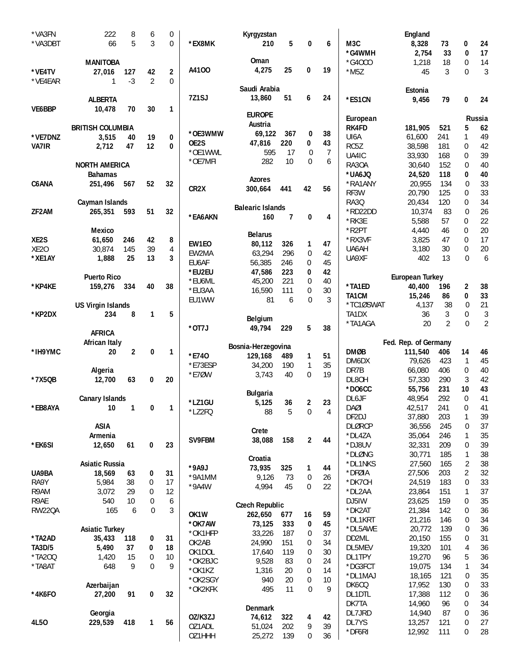| *VA3FN                | 222                        | 8              | 6              | 0            |                   | Kyrgyzstan                     |                |                     |          |                          | England                         |            |                     |                |
|-----------------------|----------------------------|----------------|----------------|--------------|-------------------|--------------------------------|----------------|---------------------|----------|--------------------------|---------------------------------|------------|---------------------|----------------|
| *VA3DBT               | 66                         | 5              | 3              | $\mathbf 0$  | *EX8MK            | 210                            | 5              | 0                   | 6        | M3C                      | 8,328                           | 73         | 0                   | 24             |
|                       |                            |                |                |              |                   |                                |                |                     |          | *G4WMH                   | 2,754                           | 33         | $\bf{0}$            | 17             |
|                       | <b>MANITOBA</b>            |                |                |              |                   | Oman                           |                |                     |          | *G40CO                   | 1,218                           | 18         | $\mathbf 0$         | 14             |
| *VE4TV                | 27,016                     | 127            | 42             | 2            | A4100             | 4,275                          | 25             | 0                   | 19       | $*$ M5Z                  | 45                              | 3          | $\Omega$            | $\sqrt{3}$     |
| *VE4EAR               | 1                          | $-3$           | $\overline{2}$ | $\Omega$     |                   | Saudi Arabia                   |                |                     |          |                          |                                 |            |                     |                |
|                       |                            |                |                |              | 7Z1SJ             | 13,860                         | 51             | 6                   | 24       |                          | Estonia                         |            |                     |                |
| VE6BBP                | <b>ALBERTA</b>             | 70             | 30             | 1            |                   |                                |                |                     |          | *ES1CN                   | 9,456                           | 79         | 0                   | 24             |
|                       | 10,478                     |                |                |              |                   | <b>EUROPE</b>                  |                |                     |          |                          |                                 |            |                     |                |
|                       | <b>BRITISH COLUMBIA</b>    |                |                |              |                   | Austria                        |                |                     |          | European<br><b>RK4FD</b> | 181,905                         | 521        | 5                   | Russia<br>62   |
| *VE7DNZ               | 3,515                      | 40             | 19             | 0            | *OE3WMW           | 69,122                         | 367            | 0                   | 38       | UI6A                     | 61,600                          | 241        | 1                   | 49             |
| VA7IR                 | 2,712                      | 47             | 12             | $\mathbf{0}$ | OE2S              | 47,816                         | 220            | 0                   | 43       | RC5Z                     | 38,598                          | 181        | 0                   | 42             |
|                       |                            |                |                |              | *OE1WWL           | 595                            | 17             | $\overline{0}$      | 7        | UA4IC                    | 33,930                          | 168        | 0                   | 39             |
|                       | <b>NORTH AMERICA</b>       |                |                |              | *OE7MFI           | 282                            | 10             | $\mathbf 0$         | 6        | RA30A                    | 30,640                          | 152        | $\mathbf 0$         | 40             |
|                       | <b>Bahamas</b>             |                |                |              |                   |                                |                |                     |          | *UA6JQ                   | 24,520                          | 118        | 0                   | 40             |
| C6ANA                 | 251,496                    | 567            | 52             | 32           |                   | <b>Azores</b>                  |                |                     |          | *RA1ANY                  | 20,955                          | 134        | 0                   | 33             |
|                       |                            |                |                |              | CR <sub>2</sub> X | 300,664                        | 441            | 42                  | 56       | RF3W                     | 20,790                          | 125        | $\mathbf 0$         | 33             |
|                       | Cayman Islands             |                |                |              |                   |                                |                |                     |          | <b>RA30</b>              | 20,434                          | 120        | 0                   | 34             |
| ZF2AM                 | 265,351                    | 593            | 51             | 32           | *EA6AKN           | <b>Balearic Islands</b><br>160 | $\overline{7}$ | 0                   | 4        | *RD22DD                  | 10,374                          | 83         | 0                   | 26             |
|                       |                            |                |                |              |                   |                                |                |                     |          | *RK3E                    | 5,588                           | 57         | 0                   | 22             |
|                       | <b>Mexico</b>              |                |                |              |                   | <b>Belarus</b>                 |                |                     |          | *R2PT                    | 4,440                           | 46         | 0                   | 20             |
| XE2S                  | 61,650                     | 246            | 42             | 8            | EW1EO             | 80,112                         | 326            | 1                   | 47       | *RX3VF                   | 3,825                           | 47         | $\mathbf{0}$        | 17             |
| XE <sub>20</sub>      | 30,874                     | 145            | 39             | 4            | EW2MA             | 63,294                         | 296            | 0                   | 42       | UA6AH                    | 3,180                           | 30         | $\mathbf{0}$        | 20             |
| *XE1AY                | 1,888                      | 25             | 13             | 3            | EU6AF             | 56,385                         | 246            | 0                   | 45       | UA9XF                    | 402                             | 13         | $\Omega$            | 6              |
|                       |                            |                |                |              | *EU2EU            | 47,586                         | 223            | 0                   | 42       |                          |                                 |            |                     |                |
|                       | <b>Puerto Rico</b>         |                | 40             |              | *EU6ML            | 45,200                         | 221            | 0                   | 40       | *TA1ED                   | <b>European Turkey</b>          |            |                     |                |
| *KP4KE                | 159,276                    | 334            |                | 38           | *EU3AA            | 16,590                         | 111            | 0                   | 30       | TA1CM                    | 40,400<br>15,246                | 196<br>86  | $\overline{2}$<br>0 | 38<br>33       |
|                       | <b>US Virgin Islands</b>   |                |                |              | EU1WW             | 81                             | 6              | $\Omega$            | 3        | *TC1ØSWAT                | 4,137                           | 38         | 0                   | 21             |
| *KP2DX                | 234                        | 8              | $\mathbf{1}$   | 5            |                   |                                |                |                     |          | TA1DX                    | 36                              | 3          | $\mathbf 0$         | $\mathfrak{Z}$ |
|                       |                            |                |                |              |                   | <b>Belgium</b>                 |                |                     |          | *TA1AGA                  | 20                              | 2          | 0                   | $\overline{2}$ |
|                       | <b>AFRICA</b>              |                |                |              | *0T7J             | 49,794                         | 229            | 5                   | 38       |                          |                                 |            |                     |                |
|                       |                            |                |                |              |                   |                                |                |                     |          |                          |                                 |            |                     |                |
|                       |                            |                |                |              |                   |                                |                |                     |          |                          |                                 |            |                     |                |
| *IH9YMC               | <b>African Italy</b><br>20 | $\overline{2}$ | 0              | 1            |                   | Bosnia-Herzegovina             |                |                     |          | <b>DMØB</b>              | Fed. Rep. of Germany<br>111,540 | 406        | 14                  | 46             |
|                       |                            |                |                |              | *E740             | 129,168                        | 489            | 1                   | 51       | DM6DX                    | 79,626                          | 423        | $\mathbf{1}$        | 45             |
|                       | Algeria                    |                |                |              | *E73ESP           | 34,200                         | 190            | 1                   | 35       | DR7B                     | 66,080                          | 406        | 0                   | 40             |
| *7X5QB                | 12,700                     | 63             | 0              | 20           | *E7ØW             | 3,743                          | 40             | $\overline{0}$      | 19       | DL8OH                    | 57,330                          | 290        | 3                   | 42             |
|                       |                            |                |                |              |                   |                                |                |                     |          | $*$ DO6CC                | 55,756                          | 231        | 10                  | 43             |
|                       | <b>Canary Islands</b>      |                |                |              |                   | <b>Bulgaria</b>                |                |                     |          | DL6JF                    | 48,954                          | 292        | $\boldsymbol{0}$    | 41             |
| *EB8AYA               | 10                         | $\overline{1}$ | 0              | 1            | *LZ1GU            | 5,125                          | 36             | 2<br>$\overline{0}$ | 23<br>4  | <b>DAØI</b>              | 42,517                          | 241        | 0                   | 41             |
|                       |                            |                |                |              | *LZ2FQ            | 88                             | 5              |                     |          | DF2DJ                    | 37,880                          | 203        | 1                   | 39             |
|                       | <b>ASIA</b>                |                |                |              |                   | Crete                          |                |                     |          | <b>DLØRCP</b>            | 36,556                          | 245        | 0                   | 37             |
|                       | Armenia                    |                |                |              | SV9FBM            | 38,088                         | 158            | $\mathbf 2$         | 44       | *DL4ZA                   | 35,064                          | 246        | 1                   | 35             |
| *EK6SI                | 12,650                     | 61             | 0              | 23           |                   |                                |                |                     |          | *DJ8UV                   | 32,331                          | 209        | 0                   | 39             |
|                       |                            |                |                |              |                   | Croatia                        |                |                     |          | *DLØNG                   | 30,771                          | 185        | 1                   | 38             |
|                       | <b>Asiatic Russia</b>      |                |                |              | *9A9J             | 73,935                         | 325            | 1                   | 44       | *DL1NKS                  | 27,560                          | 165        | 2                   | 38             |
| UA9BA                 | 18,569                     | 63             | 0              | 31           | *9A1MM            | 9,126                          | 73             | 0                   | 26       | *DFØIA                   | 27,506                          | 203        | 2                   | 32             |
| RA9Y                  | 5,984                      | 38             | 0              | 17           | $*9A4W$           | 4,994                          | 45             | $\mathbf 0$         | 22       | *DK7CH                   | 24,519                          | 183        | 0<br>1              | 33             |
| R9AM                  | 3,072<br>540               | 29<br>10       | 0<br>0         | 12<br>6      |                   |                                |                |                     |          | *DL2AA                   | 23,864                          | 151        | 0                   | 37             |
| R9AE<br><b>RW22QA</b> | 165                        | 6              | 0              | 3            |                   | <b>Czech Republic</b>          |                |                     |          | DJ5IW<br>*DK2AT          | 23,625<br>21,384                | 159<br>142 | 0                   | 35             |
|                       |                            |                |                |              | OK1W              | 262,650                        | 677            | 16                  | 59       | *DL1KRT                  | 21,216                          | 146        | 0                   | 36<br>34       |
|                       | <b>Asiatic Turkey</b>      |                |                |              | *OK7AW            | 73,125                         | 333            | 0                   | 45       | *DL5AWE                  | 20,772                          | 139        | $\mathbf 0$         | 36             |
| *TA2AD                | 35,433                     | 118            | 0              | 31           | *OK1HFP           | 33,226                         | 187            | 0                   | 37       | DD2ML                    | 20,150                          | 155        | 0                   | 31             |
| <b>TA3D/5</b>         | 5,490                      | 37             | 0              | 18           | OK2AB             | 24,990                         | 151            | 0                   | 34       | DL5MEV                   | 19,320                          | 101        | 4                   | 36             |
| *TA200                | 1,420                      | 15             | 0              | 10           | OK1DOL            | 17,640                         | 119            | 0<br>0              | 30       | DL1TPY                   | 19,270                          | 96         | 5                   | 36             |
| *TA8AT                | 648                        | 9              | $\mathbf 0$    | 9            | *OK2BJC           | 9,528                          | 83             | 0                   | 24       | *DG3FCT                  | 19,075                          | 134        | 1                   | 34             |
|                       |                            |                |                |              | *OK1KZ<br>*OK2SGY | 1,316<br>940                   | 20<br>20       | 0                   | 14<br>10 | *DL1MAJ                  | 18,165                          | 121        | 0                   | 35             |
|                       | Azerbaijan                 |                |                |              | *OK2KFK           | 495                            | 11             | $\Omega$            | 9        | DK6CQ                    | 17,952                          | 130        | 0                   | 33             |
| *4K6F0                | 27,200                     | 91             | 0              | 32           |                   |                                |                |                     |          | DL1DTL                   | 17,388                          | 112        | 0                   | 36             |
|                       |                            |                |                |              |                   | Denmark                        |                |                     |          | DK7TA                    | 14,960                          | 96         | 0                   | 34             |
|                       | Georgia                    |                |                |              | OZ/K3ZJ           | 74,612                         | 322            | 4                   | 42       | DL7JRD                   | 14,940                          | 87         | 0                   | 36             |
| 4L50                  | 229,539                    | 418            | 1              | 56           | OZ1ADL<br>OZ1HHH  | 51,024<br>25,272               | 202<br>139     | 9<br>0              | 39<br>36 | DL7YS<br>*DF6RI          | 13,257<br>12,992                | 121<br>111 | $\mathbf 0$<br>0    | 27<br>28       |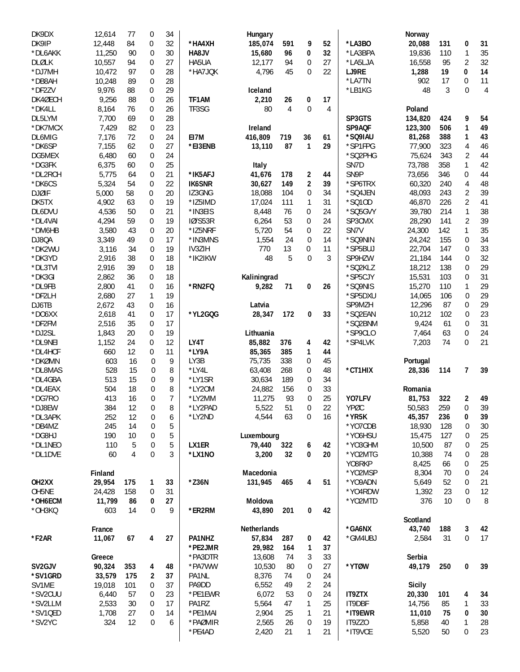| DK9DX              | 12,614  | 77  | 0                | 34 |                   | Hungary        |          |                  |          |                   | Norway         |          |                |                |
|--------------------|---------|-----|------------------|----|-------------------|----------------|----------|------------------|----------|-------------------|----------------|----------|----------------|----------------|
| DK9IP              | 12,448  | 84  | 0                | 32 | *HA4XH            | 185,074        | 591      | 9                | 52       | *LA3BO            | 20,088         | 131      | 0              | 31             |
| *DL6AKK            | 11,250  | 90  | $\mathbf 0$      | 30 | HA8JV             | 15,680         | 96       | 0                | 32       | *LA3BPA           | 19,836         | 110      | $\mathbf{1}$   | 35             |
| <b>DLØLK</b>       | 10,557  | 94  | 0                | 27 | HA5UA             | 12,177         | 94       | $\mathbf 0$      | 27       | *LA5LJA           | 16,558         | 95       | $\overline{2}$ | 32             |
| *DJ7MH             | 10,472  | 97  | 0                | 28 | *HA7JQK           | 4,796          | 45       | 0                | 22       | LJ9RE             | 1,288          | 19       | 0              | 14             |
| *DB8AH             | 10,248  | 89  | $\mathbf 0$      | 28 |                   |                |          |                  |          | *LA7TN            | 902            | 17       | 0              | 11             |
| *DF2ZV             | 9,976   | 88  | $\boldsymbol{0}$ | 29 |                   | Iceland        |          |                  |          | *LB1KG            | 48             | 3        | $\mathbf 0$    | $\overline{4}$ |
| DK4ØECH            | 9,256   | 88  | $\mathbf 0$      | 26 | TF1AM             | 2,210          | 26       | 0                | 17       |                   |                |          |                |                |
| *DK4LL             | 8,164   | 76  | 0                | 26 | TF3SG             | 80             | 4        | $\boldsymbol{0}$ | 4        |                   | Poland         |          |                |                |
| DL5LYM             | 7,700   | 69  | $\mathbf 0$      | 28 |                   |                |          |                  |          | SP3GTS            | 134,820        | 424      | 9              | 54             |
| *DK7MCX            | 7,429   | 82  | 0                | 23 |                   | Ireland        |          |                  |          | SP9AQF            | 123,300        | 506      | 1              | 49             |
| DL6MIG             | 7,176   | 72  | 0                | 24 | EI7M              | 416,809        | 719      | 36               | 61       | *SQ9IAU           | 81,268         | 388      | 1              | 43             |
| *DK6SP             | 7,155   | 62  | 0                | 27 | *EI3ENB           | 13,110         | 87       | 1                | 29       | *SP1FPG           | 77,900         | 323      | 4              | 46             |
| DG5MEX             | 6,480   | 60  | $\mathbf 0$      | 24 |                   |                |          |                  |          | *SQ2PHG           | 75,624         | 343      | $\overline{2}$ | 44             |
| *DG3FK             | 6,375   | 60  | $\boldsymbol{0}$ | 25 |                   | Italy          |          |                  |          | SN7D              | 73,788         | 358      | 1              | 42             |
| *DL2RCH            | 5,775   | 64  | $\mathbf 0$      | 21 | *IK5AFJ           | 41,676         | 178      | $\overline{2}$   | 44       | SN9P              | 73,656         | 346      | 0              | 44             |
| *DK6CS             | 5,324   | 54  | 0                | 22 | <b>IK6SNR</b>     | 30,627         | 149      | $\overline{2}$   | 39       | *SP6TRX           | 60,320         | 240      | 4              | 48             |
| <b>DJØIF</b>       | 5,000   | 58  | 0                | 20 | IZ3GNG            | 18,088         | 104      | 0                | 34       | *SQ4JEN           | 48,093         | 243      | 2              | 39             |
| DK5TX              | 4,902   | 63  | $\overline{0}$   | 19 | *IZ5IMD           | 17,024         | 111      | 1                | 31       | *SQ10D            | 46,870         | 226      | 2              | 41             |
| DL6DVU             | 4,536   | 50  | 0                | 21 | *IN3EIS           | 8,448          | 76       | 0                | 24       | *SQ5GVY           | 39,780         | 214      | 1              | 38             |
| *DL4VAI            | 4,294   | 59  | $\boldsymbol{0}$ | 19 | <b>IØ/S53R</b>    | 6,264          | 53       | 0                | 24       | SP3CMX            | 28,290         | 141      | $\overline{2}$ | 39             |
| *DM6HB             | 3,580   | 43  | $\overline{0}$   | 20 | *IZ5NRF           | 5,720          | 54       | 0                | 22       | SN7V              | 24,300         | 142      | 1              | 35             |
| DJ8QA              | 3,349   | 49  | 0                | 17 | *IN3MNS           | 1,554          | 24       | $\mathbf 0$      | 14       | *SQ9NIN           | 24,242         | 155      | 0              | 34             |
| *DK2WU             | 3,116   | 34  | $\mathbf 0$      | 19 | IV3ZIH            | 770            | 13       | 0                | 11       | *SP5BUJ           | 22,704         | 147      | $\mathbf 0$    | 33             |
| *DK3YD             | 2,916   | 38  | 0                | 18 | *IK2IKW           | 48             | 5        | $\overline{0}$   | 3        | SP9HZW            | 21,184         | 144      | 0              | 32             |
| *DL3TVI            | 2,916   | 39  | $\boldsymbol{0}$ | 18 |                   |                |          |                  |          | *SQ2KLZ           | 18,212         | 138      | 0              | 29             |
| *DK3GI             | 2,862   | 36  | $\boldsymbol{0}$ | 18 |                   | Kaliningrad    |          |                  |          | *SP5CJY           | 15,531         | 103      | 0              | 31             |
| *DL9FB             | 2,800   | 41  | 0                | 16 | *RN2FQ            | 9,282          | 71       | 0                | 26       | *SQ9NIS           | 15,270         | 110      | 1              | 29             |
| *DF2LH             | 2,680   | 27  | $\mathbf{1}$     | 19 |                   |                |          |                  |          | *SP5DXU           | 14,065         | 106      | 0              | 29             |
| DJ6TB              | 2,672   | 43  | 0                | 16 |                   | Latvia         |          |                  |          | SP9MZH            | 12,296         | 87       | 0              | 29             |
| *DO6XX             | 2,618   | 41  | 0                | 17 | *YL2GQG           | 28,347         | 172      | 0                | 33       | *SQ2EAN           | 10,212         | 102      | 0              | 23             |
| *DF2FM             | 2,516   | 35  | 0                | 17 |                   |                |          |                  |          | *SQ2BNM           | 9,424          | 61       | 0              | 31             |
| *DJ2SL             | 1,843   | 20  | $\boldsymbol{0}$ | 19 |                   | Lithuania      |          |                  |          | *SP9CLO           | 7,464          | 63       | 0              | 24             |
| *DL9NEI            | 1,152   | 24  | 0                | 12 | LY4T              | 85,882         | 376      | 4                | 42       | *SP4LVK           | 7,203          | 74       | 0              | 21             |
| *DL4HCF            | 660     | 12  | 0                | 11 | *LY9A             | 85,365         | 385      | 1                | 44       |                   |                |          |                |                |
| *DKØMN             | 603     | 16  | 0                | 9  | LY3B              | 75,735         | 338      | 0                | 45       |                   | Portugal       |          |                |                |
| *DL8MAS            | 528     | 15  | 0                | 8  | *LY4L             | 63,408         | 268      | 0                | 48       | *CT1HIX           | 28,336         | 114      | $\overline{7}$ | 39             |
| *DL4GBA            | 513     | 15  | 0                | 9  | *LY1SR            | 30,634         | 189      | 0                | 34       |                   |                |          |                |                |
| *DL4EAX            | 504     | 18  | 0                | 8  | *LY20M            | 24,882         | 156      | 0                | 33       |                   | Romania        |          |                |                |
| *DG7RO             | 413     | 16  | 0                | 7  | *LY2MM            | 11,275         | 93       | $\mathbf 0$      | 25       | YO7LFV            | 81,753         | 322      | $\mathbf{2}$   | 49             |
|                    |         |     | $\Omega$         | 8  | *LY2PAD           |                | 51       | $\Omega$         | 22       | YPØC              |                |          | $\Omega$       | 39             |
| *DJ8EW             | 384     | 12  |                  |    |                   | 5,522          |          |                  |          |                   | 50,583         | 259      |                |                |
| *DL3APK            | 252     | 12  | 0                | 6  | *LY2ND            | 4,544          | 63       | 0                | 16       | *YR5K             | 45,357         | 236      | 0              | 39             |
| *DB4MZ             | 245     | 14  | 0                | 5  |                   |                |          |                  |          | *YO7CDB           | 18,930         | 128      | 0              | $30\,$         |
| *DG8HJ             | 190     | 10  | 0                | 5  |                   | Luxembourg     |          |                  |          | *Y06HSU           | 15,475         | 127      | 0              | 25             |
| *DL1NEO            | 110     | 5   | 0                | 5  | LX1ER             | 79,440         | 322      | 6                | 42       | *YO3GHM           | 10,500         | 87       | 0              | 25             |
| *DL1DVE            | 60      | 4   | 0                | 3  | *LX1NO            | 3,200          | 32       | 0                | 20       | *YO2MTG           | 10,388         | 74       | 0              | 28             |
|                    |         |     |                  |    |                   |                |          |                  |          | Y08RKP            | 8,425          | 66       | 0              | 25             |
|                    | Finland |     |                  |    |                   | Macedonia      |          |                  |          | *Y02MSP           | 8,304          | 70       | 0              | 24             |
| OH <sub>2</sub> XX | 29,954  | 175 | 1                | 33 | $*$ Z36N          | 131,945        | 465      | 4                | 51       | *Y09ADN           | 5,649          | 52       | 0              | 21             |
| OH5NE              | 24,428  | 158 | 0                | 31 |                   |                |          |                  |          | *YO4RDW           | 1,392          | 23       | 0              | 12             |
| *OH6ECM            | 11,799  | 86  | 0                | 27 |                   | Moldova        |          |                  |          | *YO2MTD           | 376            | 10       | $\mathbf 0$    | 8              |
| *OH3KQ             | 603     | 14  | 0                | 9  | *ER2RM            | 43,890         | 201      | 0                | 42       |                   |                |          |                |                |
|                    |         |     |                  |    |                   |                |          |                  |          |                   | Scotland       |          |                |                |
|                    | France  |     |                  |    |                   | Netherlands    |          |                  |          | *GA6NX            | 43,740         | 188      | 3              | 42             |
| *F2AR              | 11,067  | 67  | 4                | 27 | PA1NHZ            | 57,834         | 287      | 0                | 42       | *GM4UBJ           | 2,584          | 31       | 0              | 17             |
|                    |         |     |                  |    | *PE2JMR           | 29,982         | 164      | 1                | 37       |                   |                |          |                |                |
|                    | Greece  |     |                  |    | *PA3DTR           | 13,608         | 74       | 3                | 33       |                   | Serbia         |          |                |                |
| SV2GJV             | 90,324  | 353 | 4                | 48 | *PA7WW            | 10,530         | 80       | 0                | 27       | *YTØW             | 49,179         | 250      | 0              | 39             |
| *SV1GRD            | 33,579  | 175 | 2                | 37 | PA1NL             | 8,376          | 74       | 0                | 24       |                   |                |          |                |                |
| SV1ME              | 19,018  | 101 | 0                | 37 | PA9DD             | 6,552          | 49       | 2                | 24       |                   | <b>Sicily</b>  |          |                |                |
| *SV2CUU            | 6,440   | 57  | 0                | 23 | *PE1EWR           | 6,072          | 53       | 0                | 24       | <b>IT9ZTX</b>     | 20,330         | 101      | 4              | 34             |
| *SV2LLM            | 2,533   | 30  | 0                | 17 | PA1RZ             | 5,564          | 47       | 1                | 25       | IT9DBF            | 14,756         | 85       | 1              | 33             |
| *SV1QED            | 1,708   | 27  | 0                | 14 | *PE1MAI           | 2,904          | 25       | 1                | 21       | *IT9EWR           | 11,010         | 75       | 0              | 30             |
| *SV2YC             | 324     | 12  | 0                | 6  | *PAØMIR<br>*PE4AD | 2,565<br>2,420 | 26<br>21 | $\mathbf 0$<br>1 | 19<br>21 | IT9ZZO<br>*IT9VCE | 5,858<br>5,520 | 40<br>50 | 1<br>0         | 28<br>23       |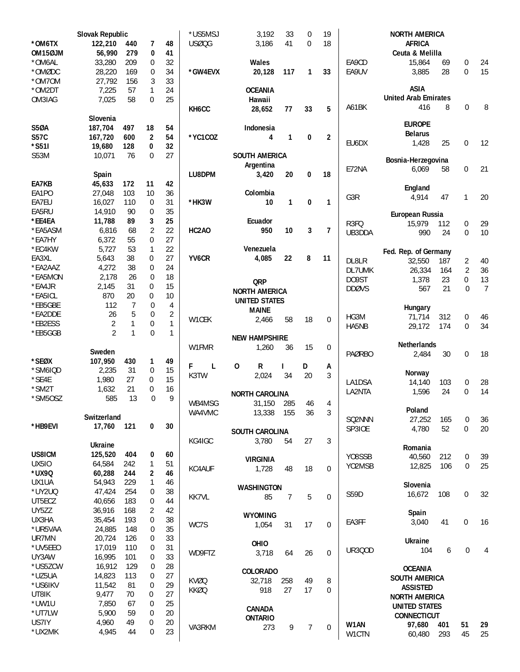|                  | Slovak Republic |                |                   |                | *US5MSJ            | 3,192                     | 33           | 0            | 19               |               | <b>NORTH AMERICA</b>        |            |                |                |
|------------------|-----------------|----------------|-------------------|----------------|--------------------|---------------------------|--------------|--------------|------------------|---------------|-----------------------------|------------|----------------|----------------|
| *OM6TX           | 122,210         | 440            | 7                 | 48             | USØQG              | 3,186                     | 41           | $\mathbf{0}$ | 18               |               | <b>AFRICA</b>               |            |                |                |
| OM15ØJM          | 56,990          | 279            | 0                 | 41             |                    |                           |              |              |                  |               | Ceuta & Melilla             |            |                |                |
| *OM6AL           | 33,280          | 209            | 0                 | 32             |                    | Wales                     |              |              |                  | EA9CD         | 15,864                      | 69         | 0              | 24             |
| *OMØDC           | 28,220          | 169            | $\boldsymbol{0}$  | 34             | *GW4EVX            | 20,128                    | 117          | 1            | 33               | EA9UV         | 3,885                       | 28         | $\Omega$       | 15             |
| *OM7OM           | 27,792          | 156            | 3                 | 33             |                    |                           |              |              |                  |               |                             |            |                |                |
| *OM2DT           | 7,225           | 57             | $\mathbf{1}$      | 24             |                    | <b>OCEANIA</b>            |              |              |                  |               | <b>ASIA</b>                 |            |                |                |
| OM3IAG           | 7,025           | 58             | $\overline{0}$    | 25             |                    | Hawaii                    |              |              |                  |               | <b>United Arab Emirates</b> |            |                |                |
|                  |                 |                |                   |                | KH <sub>6</sub> CC | 28,652                    | 77           | 33           | 5                | A61BK         | 416                         | 8          | $\overline{0}$ | 8              |
|                  | Slovenia        |                |                   |                |                    |                           |              |              |                  |               | <b>EUROPE</b>               |            |                |                |
| <b>S50A</b>      | 187,704         | 497            | 18                | 54             |                    | Indonesia                 |              |              |                  |               | <b>Belarus</b>              |            |                |                |
| <b>S57C</b>      | 167,720         | 600            | 2                 | 54             | *YC1COZ            | 4                         | 1            | 0            | $\overline{2}$   | EU6DX         | 1,428                       | 25         | $\mathbf 0$    | 12             |
| *S51I            | 19,680          | 128            | 0                 | 32             |                    |                           |              |              |                  |               |                             |            |                |                |
| S53M             | 10,071          | 76             | 0                 | 27             |                    | <b>SOUTH AMERICA</b>      |              |              |                  |               | Bosnia-Herzegovina          |            |                |                |
|                  |                 |                |                   |                |                    | Argentina                 |              |              |                  | E72NA         | 6,069                       | 58         | $\mathbf 0$    | 21             |
|                  | Spain           |                |                   |                | LU8DPM             | 3,420                     | 20           | 0            | 18               |               |                             |            |                |                |
| EA7KB            | 45,633          | 172            | 11                | 42             |                    |                           |              |              |                  |               | England                     |            |                |                |
| EA1PO            | 27,048          | 103            | 10                | 36             |                    | Colombia                  |              |              |                  | G3R           | 4,914                       | 47         | 1              | 20             |
| EA7EU            | 16,027          | 110            | 0                 | 31             | *HK3W              | 10                        | $\mathbf{1}$ | 0            | $\mathbf{1}$     |               |                             |            |                |                |
| EA5RU            | 14,910          | 90             | $\boldsymbol{0}$  | 35             |                    |                           |              |              |                  |               | European Russia             |            |                |                |
| *EE4EA           | 11,788          | 89             | 3                 | 25             |                    | Ecuador                   |              |              |                  | R3FQ          | 15,979                      | 112        | 0              | 29             |
| *EA5ASM          | 6,816           | 68             | $\overline{2}$    | 22             | HC2AO              | 950                       | 10           | 3            | 7                | UB3DDA        | 990                         | 24         | $\Omega$       | 10             |
| *EA7HY<br>*EC4KW | 6,372<br>5,727  | 55<br>53       | 0<br>$\mathbf{1}$ | 27<br>22       |                    | Venezuela                 |              |              |                  |               |                             |            |                |                |
| EA3XL            | 5,643           | 38             | 0                 | 27             | YV <sub>6</sub> CR | 4,085                     | 22           | 8            | 11               |               | Fed. Rep. of Germany        |            |                |                |
| *EA2AAZ          | 4,272           | 38             | $\boldsymbol{0}$  | 24             |                    |                           |              |              |                  | DL8LR         | 32,550                      | 187        | $\overline{2}$ | 40             |
| *EA5MON          | 2,178           | 26             | $\mathbf 0$       | 18             |                    |                           |              |              |                  | DL7UMK        | 26,334                      | 164        | $\overline{2}$ | 36             |
| *EA4JR           | 2,145           | 31             | $\boldsymbol{0}$  | 15             |                    | <b>QRP</b>                |              |              |                  | DO9ST         | 1,378                       | 23         | $\mathbf 0$    | 13             |
| *EA5ICL          | 870             | 20             | 0                 | 10             |                    | <b>NORTH AMERICA</b>      |              |              |                  | <b>DDØVS</b>  | 567                         | 21         | $\Omega$       | $\overline{7}$ |
| *EB5GBE          | 112             | $\overline{7}$ | $\mathbf 0$       | 4              |                    | <b>UNITED STATES</b>      |              |              |                  |               |                             |            |                |                |
| *EA2DDE          | 26              | 5              | $\mathbf 0$       | $\overline{2}$ |                    | <b>MAINE</b>              |              |              |                  |               | Hungary                     |            |                |                |
| *EB2ESS          | $\overline{2}$  | 1              | $\boldsymbol{0}$  | $\mathbf{1}$   | W1CEK              | 2,466                     | 58           | 18           | $\overline{0}$   | HG3M          | 71,714                      | 312        | 0              | 46             |
| *EB5GGB          | $\overline{2}$  | $\mathbf{1}$   | $\overline{0}$    | 1              |                    |                           |              |              |                  | HA5NB         | 29,172                      | 174        | $\Omega$       | 34             |
|                  |                 |                |                   |                |                    | <b>NEW HAMPSHIRE</b>      |              |              |                  |               |                             |            |                |                |
|                  | Sweden          |                |                   |                | W1FMR              | 1,260                     | 36           | 15           | $\mathbf 0$      |               | <b>Netherlands</b>          |            | $\mathbf{0}$   | 18             |
| *SEØX            | 107,950         | 430            | 1                 | 49             |                    |                           |              |              |                  | <b>PAØRBO</b> | 2,484                       | 30         |                |                |
| *SM6IQD          | 2,235           | 31             | $\mathbf 0$       | 15             | F<br>L             | $\mathbf 0$<br>R          | L            | D            | Α                |               |                             |            |                |                |
| *SE4E            | 1,980           | 27             | 0                 | 15             | K3TW               | 2,024                     | 34           | 20           | 3                | LA1DSA        | Norway<br>14,140            | 103        | $\mathbf 0$    | 28             |
| *SM2T            | 1,632           | 21             | 0                 | 16             |                    |                           |              |              |                  | LA2NTA        | 1,596                       | 24         | $\overline{0}$ | 14             |
| *SM50SZ          | 585             | 13             | $\mathbf 0$       | 9              |                    | <b>NORTH CAROLINA</b>     |              |              |                  |               |                             |            |                |                |
|                  |                 |                |                   |                |                    |                           |              |              |                  |               |                             |            |                |                |
|                  |                 |                |                   |                | WB4MSG             | 31,150                    | 285          | 46           | 4                |               |                             |            |                |                |
|                  | Switzerland     |                |                   |                | WA4VMC             | 13,338                    | 155          | 36           | 3                |               | Poland                      |            |                |                |
| *HB9EVI          | 17,760          | 121            | 0                 | 30             |                    |                           |              |              |                  | SQ2NNN        | 27,252                      | 165        | 0              | 36             |
|                  |                 |                |                   |                |                    | SOUTH CAROLINA            |              |              |                  | SP3IOE        | 4,780                       | 52         | 0              | 20             |
|                  | Ukraine         |                |                   |                | KG4IGC             | 3,780                     | 54           | 27           | 3                |               |                             |            |                |                |
| US8ICM           | 125,520         | 404            | 0                 | 60             |                    |                           |              |              |                  | Y08SSB        | Romania                     |            | 0              |                |
| <b>UX510</b>     | 64,584          | 242            | 1                 | 51             |                    | <b>VIRGINIA</b>           |              |              |                  | YO2MSB        | 40,560<br>12,825            | 212<br>106 | 0              | 39<br>25       |
| *UX9Q            | 60,288          | 244            | 2                 | 46             | KC4AUF             | 1,728                     | 48           | 18           | $\overline{0}$   |               |                             |            |                |                |
| UX1UA            | 54,943          | 229            | 1                 | 46             |                    |                           |              |              |                  |               | Slovenia                    |            |                |                |
| *UY2UQ           | 47,424          | 254            | 0                 | 38             |                    | <b>WASHINGTON</b>         |              |              |                  | S59D          | 16,672                      | 108        | $\mathbf 0$    | 32             |
| UT5ECZ           | 40,656          | 183            | $\boldsymbol{0}$  | 44             | KK7VL              | 85                        | 7            | 5            | $\overline{0}$   |               |                             |            |                |                |
| UY5ZZ            | 36,916          | 168            | $\sqrt{2}$        | 42             |                    |                           |              |              |                  |               | Spain                       |            |                |                |
| UX3HA            | 35,454          | 193            | 0                 | 38             |                    | <b>WYOMING</b>            |              |              |                  | EA3FF         | 3,040                       | 41         | 0              | 16             |
| *UR5VAA          | 24,885          | 148            | 0                 | 35             | WC7S               | 1,054                     | 31           | 17           | $\boldsymbol{0}$ |               |                             |            |                |                |
| UR7MN            | 20,724          | 126            | 0                 | 33             |                    |                           |              |              |                  |               | <b>Ukraine</b>              |            |                |                |
| *UV5EE0          | 17,019          | 110            | 0                 | 31             |                    | OHIO                      |              |              |                  | <b>UR300D</b> | 104                         | 6          | $\mathbf 0$    | 4              |
| UY3AW            | 16,995          | 101            | 0                 | 33             | WD9FTZ             | 3,718                     | 64           | 26           | $\pmb{0}$        |               |                             |            |                |                |
| *US5ZCW          | 16,912          | 129            | 0                 | 28             |                    |                           |              |              |                  |               | <b>OCEANIA</b>              |            |                |                |
| *UZ5UA           | 14,823          | 113            | 0                 | 27             | <b>KVØQ</b>        | <b>COLORADO</b><br>32,718 | 258          | 49           | 8                |               | <b>SOUTH AMERICA</b>        |            |                |                |
| *US6IKV          | 11,542          | 81             | 0                 | 29             | <b>KKØQ</b>        | 918                       | 27           | 17           | $\mathbf 0$      |               | <b>ASSISTED</b>             |            |                |                |
| UT8IK            | 9,477           | 70             | 0                 | 27             |                    |                           |              |              |                  |               | <b>NORTH AMERICA</b>        |            |                |                |
| *UW1U            | 7,850           | 67             | 0                 | 25             |                    | <b>CANADA</b>             |              |              |                  |               | <b>UNITED STATES</b>        |            |                |                |
| *UT7LW           | 5,900           | 59             | 0                 | 20             |                    | <b>ONTARIO</b>            |              |              |                  |               | <b>CONNECTICUT</b>          |            |                |                |
| US7IY<br>*UX2MK  | 4,960<br>4,945  | 49<br>44       | 0<br>0            | 20<br>23       | VA3RKM             | 273                       | 9            | 7            | $\mathbf 0$      | W1AN<br>W1CTN | 97,680<br>60,480            | 401<br>293 | 51<br>45       | 29<br>25       |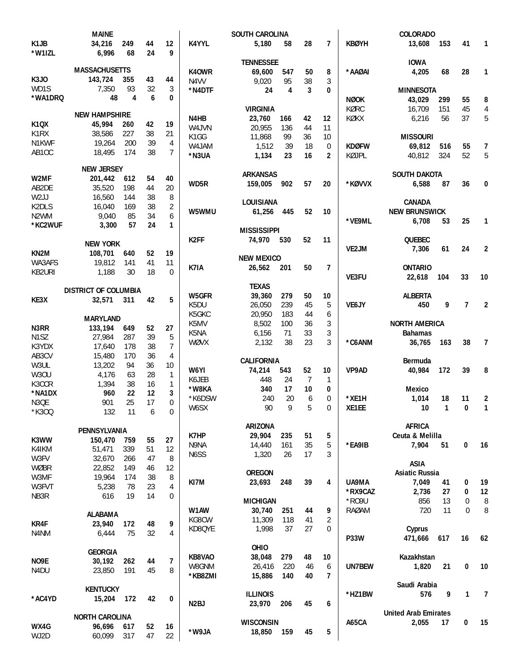|                   | <b>MAINE</b>                |                |                  |                |                   | <b>SOUTH CAROLINA</b> |     |                |                |              | <b>COLORADO</b>             |                |                |                |
|-------------------|-----------------------------|----------------|------------------|----------------|-------------------|-----------------------|-----|----------------|----------------|--------------|-----------------------------|----------------|----------------|----------------|
| K <sub>1</sub> JB | 34,216                      | 249            | 44               | 12             | K4YYL             | 5,180                 | 58  | 28             | 7              | <b>KBØYH</b> | 13,608                      | 153            | 41             | $\mathbf{1}$   |
| *W1IZL            | 6,996                       | 68             | 24               | 9              |                   |                       |     |                |                |              |                             |                |                |                |
|                   |                             |                |                  |                |                   | <b>TENNESSEE</b>      |     |                |                |              | <b>IOWA</b>                 |                |                |                |
|                   | <b>MASSACHUSETTS</b>        |                |                  |                | K40WR             | 69,600                | 547 | 50             | 8              | *AAØAI       | 4,205                       | 68             | 28             | $\mathbf{1}$   |
| K3J0              | 143,724                     | 355            | 43               | 44             | N <sub>4</sub> VV | 9,020                 | 95  | 38             | 3              |              |                             |                |                |                |
| WD1S              | 7,350                       | 93             | 32               | 3              | *N4DTF            | 24                    | 4   | 3              | 0              |              | <b>MINNESOTA</b>            |                |                |                |
| *WA1DRQ           | 48                          | $\overline{4}$ | 6                | 0              |                   |                       |     |                |                | <b>NØOK</b>  | 43,029                      | 299            | 55             |                |
|                   |                             |                |                  |                |                   |                       |     |                |                |              |                             |                |                | 8              |
|                   | <b>NEW HAMPSHIRE</b>        |                |                  |                |                   | <b>VIRGINIA</b>       |     |                |                | KØRC         | 16,709                      | 151            | 45             | $\overline{4}$ |
| <b>K1QX</b>       | 45,994                      | 260            | 42               | 19             | N4HB              | 23,760                | 166 | 42             | 12             | KØKX         | 6,216                       | 56             | 37             | 5              |
| K1RX              | 38,586                      | 227            | 38               |                | W4.JVN            | 20,955                | 136 | 44             | 11             |              |                             |                |                |                |
|                   |                             |                |                  | 21             | K1GG              | 11,868                | 99  | 36             | 10             |              | <b>MISSOURI</b>             |                |                |                |
| N1KWF             | 19,264                      | 200            | 39               | 4              | W4JAM             | 1,512                 | 39  | 18             | $\mathbf 0$    | <b>KDØFW</b> | 69,812                      | 516            | 55             | 7              |
| AB10C             | 18,495                      | 174            | 38               | 7              | *N3UA             | 1,134                 | 23  | 16             | $\overline{2}$ | KØJPL        | 40,812                      | 324            | 52             | 5              |
|                   |                             |                |                  |                |                   |                       |     |                |                |              |                             |                |                |                |
|                   | <b>NEW JERSEY</b>           |                |                  |                |                   | <b>ARKANSAS</b>       |     |                |                |              | <b>SOUTH DAKOTA</b>         |                |                |                |
| W2MF              | 201,442                     | 612            | 54               | 40             | WD5R              | 159,005               | 902 | 57             | 20             | *KØVVX       | 6,588                       | 87             | 36             | 0              |
| AB2DE             | 35,520                      | 198            | 44               | 20             |                   |                       |     |                |                |              |                             |                |                |                |
| W <sub>2</sub> JJ | 16,560                      | 144            | 38               | 8              |                   | LOUISIANA             |     |                |                |              | <b>CANADA</b>               |                |                |                |
| K2DLS             | 16,040                      | 169            | 38               | $\sqrt{2}$     |                   |                       |     |                |                |              |                             |                |                |                |
| N2WM              | 9,040                       | 85             | 34               | 6              | W5WMU             | 61,256                | 445 | 52             | 10             |              | <b>NEW BRUNSWICK</b>        |                |                |                |
| *KC2WUF           | 3,300                       | 57             | 24               | 1              |                   |                       |     |                |                | *VE9ML       | 6,708                       | 53             | 25             | 1              |
|                   |                             |                |                  |                |                   | <b>MISSISSIPPI</b>    |     |                |                |              |                             |                |                |                |
|                   | <b>NEW YORK</b>             |                |                  |                | K <sub>2</sub> FF | 74,970                | 530 | 52             | 11             |              | <b>QUEBEC</b>               |                |                |                |
| KN <sub>2</sub> M | 108,701                     | 640            | 52               | 19             |                   |                       |     |                |                | VE2JM        | 7,306                       | 61             | 24             | $\overline{2}$ |
|                   |                             |                |                  |                |                   | <b>NEW MEXICO</b>     |     |                |                |              |                             |                |                |                |
| WA3AFS            | 19,812                      | 141            | 41               | 11             | K7IA              | 26,562                | 201 | 50             | 7              |              | <b>ONTARIO</b>              |                |                |                |
| KB2URI            | 1,188                       | 30             | 18               | $\Omega$       |                   |                       |     |                |                | VE3FU        | 22,618                      | 104            | 33             | 10             |
|                   |                             |                |                  |                |                   | <b>TEXAS</b>          |     |                |                |              |                             |                |                |                |
|                   | <b>DISTRICT OF COLUMBIA</b> |                |                  |                | W5GFR             | 39,360                | 279 | 50             | 10             |              | <b>ALBERTA</b>              |                |                |                |
| KE3X              | 32,571                      | 311            | 42               | 5              | K5DU              | 26,050                | 239 | 45             | 5              | <b>VE6JY</b> | 450                         | 9              | $\overline{7}$ | $\overline{2}$ |
|                   |                             |                |                  |                |                   |                       |     |                |                |              |                             |                |                |                |
|                   | <b>MARYLAND</b>             |                |                  |                | K5GKC             | 20,950                | 183 | 44             | 6              |              |                             |                |                |                |
| N3RR              | 133,194                     | 649            | 52               | 27             | K5MV              | 8,502                 | 100 | 36             | 3              |              | <b>NORTH AMERICA</b>        |                |                |                |
| N <sub>1</sub> SZ | 27,984                      | 287            | 39               | 5              | K5NA              | 6,156                 | 71  | 33             | 3              |              | <b>Bahamas</b>              |                |                |                |
| K3YDX             | 17,640                      | 178            | 38               | 7              | WØVX              | 2,132                 | 38  | 23             | 3              | *C6ANM       | 36,765                      | 163            | 38             | $\overline{7}$ |
| AB3CV             | 15,480                      | 170            | 36               | 4              |                   |                       |     |                |                |              |                             |                |                |                |
| W3UL              | 13,202                      | 94             | 36               | 10             |                   | <b>CALIFORNIA</b>     |     |                |                |              | Bermuda                     |                |                |                |
|                   |                             |                |                  |                | W6YI              | 74,214                | 543 | 52             | 10             | VP9AD        | 40,984                      | 172            | 39             | 8              |
| W3OU              | 4,176                       | 63             | 28               | 1              | K6JEB             | 448                   | 24  | $\overline{7}$ | 1              |              |                             |                |                |                |
| K3CCR             | 1,394                       | 38             | 16               | 1              | *W8KA             | 340                   | 17  | 10             | 0              |              | <b>Mexico</b>               |                |                |                |
| *NA1DX            | 960                         | 22             | 12               | 3              | *K6DSW            | 240                   | 20  | 6              | 0              | *XE1H        | 1,014                       | 18             | 11             | 2              |
| N3OE              | 901                         | 25             | 17               | $\Omega$       |                   | 90                    |     |                | 0              | XE1EE        |                             |                |                |                |
| *K300             | 132                         | 11             | $\boldsymbol{6}$ | $\,0\,$        | W6SX              |                       | 9   | 5              |                |              | 10                          | $\overline{1}$ | 0              | $\mathbf{1}$   |
|                   |                             |                |                  |                |                   |                       |     |                |                |              |                             |                |                |                |
|                   | PENNSYLVANIA                |                |                  |                |                   | ARIZONA               |     |                |                |              | <b>AFRICA</b>               |                |                |                |
| K3WW              | 150,470                     | 759            | 55               | 27             | K7HP              | 29,904                | 235 | 51             | 5              |              | Ceuta & Melilla             |                |                |                |
| K4IKM             | 51,471                      | 339            | 51               | 12             | N9NA              | 14,440                | 161 | 35             | 5              | *EA9IB       | 7,904                       | 51             | $\mathbf 0$    | 16             |
| W3FV              | 32,670                      | 266            | 47               | 8              | N6SS              | 1,320                 | 26  | 17             | 3              |              |                             |                |                |                |
| WØBR              | 22,852                      | 149            | 46               | 12             |                   |                       |     |                |                |              | <b>ASIA</b>                 |                |                |                |
|                   |                             |                |                  |                |                   | <b>OREGON</b>         |     |                |                |              | <b>Asiatic Russia</b>       |                |                |                |
| W3MF              | 19,964                      | 174            | 38               | 8              | KI7M              | 23,693                | 248 | 39             | 4              | UA9MA        | 7,049                       | 41             | 0              | 19             |
| W3FVT             | 5,238                       | 78             | 23               | 4              |                   |                       |     |                |                | *RX9CAZ      | 2,736                       | 27             | 0              | 12             |
| NB3R              | 616                         | 19             | 14               | 0              |                   | <b>MICHIGAN</b>       |     |                |                | *R09U        | 856                         | 13             | 0              | 8              |
|                   |                             |                |                  |                | W1AW              | 30,740                | 251 | 44             | 9              | <b>RAØAM</b> | 720                         | 11             | $\Omega$       | 8              |
|                   | <b>ALABAMA</b>              |                |                  |                | KG8CW             | 11,309                |     |                |                |              |                             |                |                |                |
| KR4F              | 23,940                      | 172            | 48               | 9              |                   |                       | 118 | 41             | 2              |              |                             |                |                |                |
| N4NM              | 6,444                       | 75             | 32               | $\overline{4}$ | KD8QYE            | 1,998                 | 37  | 27             | 0              |              | Cyprus                      |                |                |                |
|                   |                             |                |                  |                |                   |                       |     |                |                | <b>P33W</b>  | 471,666                     | 617            | 16             | 62             |
|                   | <b>GEORGIA</b>              |                |                  |                |                   | OHIO                  |     |                |                |              |                             |                |                |                |
| NO9E              | 30,192                      | 262            | 44               | 7              | KB8VAO            | 38,048                | 279 | 48             | 10             |              | Kazakhstan                  |                |                |                |
| N4DU              | 23,850                      | 191            | 45               | 8              | W8GNM             | 26,416                | 220 | 46             | 6              | UN7BEW       | 1,820                       | 21             | $\bf{0}$       | 10             |
|                   |                             |                |                  |                | *KB8ZMI           | 15,886                | 140 | 40             | 7              |              |                             |                |                |                |
|                   |                             |                |                  |                |                   |                       |     |                |                |              | Saudi Arabia                |                |                |                |
|                   | <b>KENTUCKY</b>             |                |                  |                |                   | <b>ILLINOIS</b>       |     |                |                | *HZ1BW       | 576                         | 9              | 1              | $\overline{7}$ |
| *AC4YD            | 15,204                      | 172            | 42               | 0              | N2BJ              | 23,970                | 206 | 45             | 6              |              |                             |                |                |                |
|                   |                             |                |                  |                |                   |                       |     |                |                |              | <b>United Arab Emirates</b> |                |                |                |
|                   | <b>NORTH CAROLINA</b>       |                |                  |                |                   | <b>WISCONSIN</b>      |     |                |                | A65CA        | 2,055                       | 17             | $\bf{0}$       | 15             |
| WX4G              | 96,696 617                  |                | 52               | 16             |                   |                       |     |                |                |              |                             |                |                |                |
| WJ2D              | 60,099 317                  |                | 47               | 22             | *W9JA             | 18,850                | 159 | 45             | 5              |              |                             |                |                |                |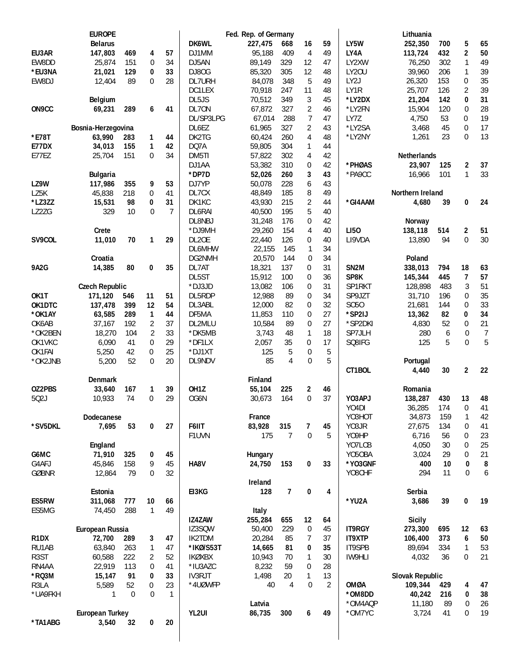|                   | <b>EUROPE</b>          |                  |                  |                |                   | Fed. Rep. of Germany |                |                  |                |                   | Lithuania              |     |                         |                  |
|-------------------|------------------------|------------------|------------------|----------------|-------------------|----------------------|----------------|------------------|----------------|-------------------|------------------------|-----|-------------------------|------------------|
|                   | <b>Belarus</b>         |                  |                  |                | DK6WL             | 227,475              | 668            | 16               | 59             | LY5W              | 252,350                | 700 | 5                       | 65               |
| EU3AR             | 147,803                | 469              | 4                | 57             | DJ1MM             | 95,188               | 409            | 4                | 49             | LY4A              | 113,724                | 432 | $\mathbf{2}$            | 50               |
| EW8DD             | 25,874                 | 151              | 0                | 34             | DJ5AN             | 89,149               | 329            | 12               | 47             | LY2XW             | 76,250                 | 302 | $\mathbf{1}$            | 49               |
| *EU3NA            | 21,021                 | 129              | 0                | 33             | DJ80G             | 85,320               | 305            | 12               | 48             | <b>LY20U</b>      | 39,960                 | 206 | 1                       | 39               |
| EW8DJ             | 12,404                 | 89               | $\mathbf{0}$     | 28             | DL7URH            | 84,078               | 348            | 5                | 49             | LY <sub>2</sub> J | 26,320                 | 153 | 0                       | 35               |
|                   |                        |                  |                  |                | DC1LEX            | 70,918               | 247            | 11               | 48             | LY1R              | 25,707                 | 126 | $\overline{2}$          | 39               |
|                   | <b>Belgium</b>         |                  |                  |                | DL5JS             | 70,512               | 349            | 3                | 45             | *LY2DX            | 21,204                 | 142 | 0                       | 31               |
| ON9CC             | 69,231                 | 289              | 6                | 41             | DL70N             | 67,872               | 327            | 2                | 46             | *LY2FN            | 15,904                 | 120 | 0                       | 28               |
|                   |                        |                  |                  |                | DL/SP3LPG         | 67,014               | 288            | $\overline{7}$   | 47             | LY7Z              | 4,750                  | 53  | 0                       | 19               |
|                   | Bosnia-Herzegovina     |                  |                  |                | DL6EZ             | 61,965               | 327            | 2                | 43             | *LY2SA            | 3,468                  | 45  | $\mathbf{0}$            | 17               |
| *E78T             | 63,990                 | 283              | 1                | 44             | DK2TG             | 60,424               | 260            | 4                | 48             | *LY2NY            | 1,261                  | 23  | $\overline{0}$          | 13               |
| E77DX             | 34,013                 | 155              | 1                | 42             | DQ7A              | 59,805               | 304            | 1                | 44             |                   |                        |     |                         |                  |
| E77EZ             | 25,704                 | 151              | 0                | 34             | DM5TI             | 57,822               | 302            | $\overline{4}$   | 42             |                   | Netherlands            |     |                         |                  |
|                   |                        |                  |                  |                | DJ1AA             | 53,382               | 310            | $\mathbf 0$      | 42             | *PHØAS            | 23,907                 | 125 | $\mathbf 2$             | 37               |
|                   | <b>Bulgaria</b>        |                  |                  |                | *DP7D             | 52,026               | 260            | 3                | 43             | *PA9CC            | 16,966                 | 101 | $\mathbf{1}$            | 33               |
| LZ9W              | 117,986                | 355              | 9                | 53             | DJ7YP             | 50,078               | 228            | 6                | 43             |                   |                        |     |                         |                  |
| LZ5K              | 45,838                 | 218              | 0                | 41             | DL7CX             | 48,849               | 185            | 8                | 49             |                   | Northern Ireland       |     |                         |                  |
| *LZ3ZZ            | 15,531                 | 98               | 0                | 31             | DK1KC             | 43,930               | 215            | $\sqrt{2}$       | 44             | *GI4AAM           | 4.680                  | 39  | 0                       | 24               |
| LZ2ZG             | 329                    | 10               | 0                | $\overline{7}$ | DL6RAI            | 40,500               | 195            | 5                | 40             |                   |                        |     |                         |                  |
|                   |                        |                  |                  |                | DL8NBJ            | 31,248               | 176            | 0                | 42             |                   | Norway                 |     |                         |                  |
|                   | Crete                  |                  |                  |                | *DJ9MH            | 29,260               | 154            | 4                | 40             | <b>LI50</b>       | 138,118                | 514 | 2                       | 51               |
| SV9COL            | 11,010                 | 70               | 1                | 29             | DL2OE             | 22,440               | 126            | 0                | 40             | LI9VDA            | 13,890                 | 94  | $\overline{0}$          | 30               |
|                   |                        |                  |                  |                | <b>DL6MHW</b>     | 22,155               | 145            | 1                | 34             |                   |                        |     |                         |                  |
|                   | Croatia                |                  |                  |                | DG2NMH            | 20,570               | 144            | $\overline{0}$   | 34             |                   | Poland                 |     |                         |                  |
| <b>9A2G</b>       | 14,385                 | 80               | 0                | 35             | DL7AT             | 18,321               | 137            | 0                | 31             | SN <sub>2M</sub>  | 338,013                | 794 | 18                      | 63               |
|                   |                        |                  |                  |                | DL5ST             | 15,912               | 100            | $\mathbf 0$      | 36             | SP8K              | 145,344                | 445 | 7                       | 57               |
|                   | <b>Czech Republic</b>  |                  |                  |                | *DJ3JD            | 13,082               | 106            | $\mathbf 0$      | 31             | SP1RKT            | 128,898                | 483 | 3                       | 51               |
| OK1T              | 171,120                | 546              | 11               | 51             | DL5RDP            | 12,988               | 89             | $\mathbf 0$      | 34             | SP9JZT            | 31,710                 | 196 | 0                       | 35               |
| OK1DTC            | 137,478                | 399              | 12               | 54             | DL3ABL            | 12,000               | 82             | 0                | 32             | S050              | 21,681                 | 144 | 0                       | 33               |
| *OK1AY            | 63,585                 | 289              | $\mathbf{1}$     | 44             | DF5MA             | 11,853               | 110            | $\boldsymbol{0}$ | 27             | *SP2IJ            | 13,362                 | 82  | 0                       | 34               |
| OK6AB             | 37,167                 | 192              | $\overline{2}$   | 37             | DL2MLU            | 10,584               | 89             | $\mathbf 0$      | 27             | *SP2DKI           | 4,830                  | 52  | 0                       | 21               |
| *OK2BEN           | 18,270                 | 104              | $\overline{2}$   | 33             | *DK5MB            | 3,743                | 48             | 1                | 18             | SP7JLH            | 280                    | 6   | 0                       | $\overline{7}$   |
| OK1VKC            | 6,090                  | 41               | $\boldsymbol{0}$ | 29             | *DF1LX            | 2,057                | 35             | 0                | 17             | SQ8IFG            | 125                    | 5   | $\mathbf 0$             | 5                |
| OK1FAI            | 5,250                  | 42               | 0                | 25             | *DJ1XT            | 125                  | 5              | $\boldsymbol{0}$ | 5              |                   |                        |     |                         |                  |
| *OK2JNB           | 5,200                  | 52               | $\mathbf 0$      | 20             | DL9NDV            | 85                   | $\overline{4}$ | $\mathbf 0$      | 5              |                   | Portugal               |     |                         |                  |
|                   |                        |                  |                  |                |                   |                      |                |                  |                | CT1BOL            | 4,440                  | 30  | $\overline{\mathbf{c}}$ | 22               |
|                   | <b>Denmark</b>         |                  |                  |                |                   | Finland              |                |                  |                |                   |                        |     |                         |                  |
| OZ2PBS            | 33,640                 | 167              | 1                | 39             | OH <sub>1</sub> Z | 55,104               | 225            | $\mathbf{2}$     | 46             |                   | Romania                |     |                         |                  |
| 502J              | 10,933                 | 74               | $\mathbf 0$      | 29             | OG6N              | 30,673               | 164            | $\mathbf 0$      | 37             | YO3APJ            | 138,287                | 430 | 13                      | 48               |
|                   |                        |                  |                  |                |                   |                      |                |                  |                | Y04DI             | 36,285                 | 174 | 0                       | 41               |
|                   | Dodecanese             |                  |                  |                |                   | France               |                |                  |                | YO3HOT            | 34,873                 | 159 | 1                       | 42               |
| *SV5DKL           | 7,695                  | 53               | 0                | 27             | F6IIT             | 83,928               | 315            | 7                | 45             | Y03JR             | 27,675                 | 134 | 0                       | 41               |
|                   |                        |                  |                  |                | F1UVN             | 175                  | 7              | $\boldsymbol{0}$ | 5              | Y09HP             | 6,716                  | 56  | $\boldsymbol{0}$        | 23               |
|                   | England                |                  |                  |                |                   |                      |                |                  |                | YO7LCB            | 4,050                  | 30  | 0                       | 25               |
| G6MC              | 71,910                 | 325              | 0                | 45             |                   | Hungary              |                |                  |                | Y050BA            | 3,024                  | 29  | 0                       | 21               |
| G4AFJ             | 45,846                 | 158              | 9                | 45             | HA8V              | 24,750               | 153            | 0                | 33             | *YO3GNF           | 400                    | 10  | 0                       | 8                |
| <b>GØBNR</b>      | 12,864                 | 79               | 0                | 32             |                   |                      |                |                  |                | YO8CHF            | 294                    | 11  | 0                       | $\boldsymbol{6}$ |
|                   |                        |                  |                  |                |                   | Ireland              |                |                  |                |                   |                        |     |                         |                  |
|                   | Estonia                |                  |                  |                | EI3KG             | 128                  | 7              | $\pmb{0}$        | 4              |                   | Serbia                 |     |                         |                  |
| ES5RW             | 311,068                | 777              | $10\,$           | 66             |                   |                      |                |                  |                | *YU2A             | 3,686                  | 39  | 0                       | 19               |
| ES5MG             | 74,450                 | 288              | 1                | 49             |                   | Italy                |                |                  |                |                   |                        |     |                         |                  |
|                   |                        |                  |                  |                | IZ4ZAW            | 255,284              | 655            | 12               | 64             |                   | <b>Sicily</b>          |     |                         |                  |
|                   | European Russia        |                  |                  |                | IZ3SQW            | 50,400               | 229            | 0                | 45             | <b>IT9RGY</b>     | 273,300                | 695 | 12                      | 63               |
| R1DX              | 72,700                 |                  |                  | 47             | IK2TDM            | 20,284               | 85             |                  | 37             | IT9XTP            |                        | 373 | 6                       | 50               |
| RU1AB             | 63,840                 | 289<br>263       | 3                | 47             |                   | 14,665               | 81             | 7                | 35             | IT9SPB            | 106,400<br>89,694      | 334 | $\mathbf{1}$            | 53               |
|                   |                        |                  | 1                |                | *IKØ/S53T         |                      |                | 0                |                |                   |                        |     |                         |                  |
| R <sub>3</sub> ST | 60,588                 | 222              | $\overline{2}$   | 52             | <b>IKØXBX</b>     | 10,943               | 70             | 1                | 30             | IW9HLI            | 4,032                  | 36  | $\mathbf 0$             | 21               |
| RN4AA             | 22,919                 | 113              | 0                | 41             | *IU3AZC           | 8,232                | 59             | 0                | 28             |                   |                        |     |                         |                  |
| *RQ3M             | 15,147                 | 91               | 0                | 33             | <b>IV3RJT</b>     | 1,498                | 20             | 1                | 13             |                   | <b>Slovak Republic</b> |     |                         |                  |
| R3LA              | 5,589                  | 52               | 0                | 23             | *4UØWFP           | 40                   | 4              | $\mathbf 0$      | $\overline{2}$ | <b>OMØA</b>       | 109,344                | 429 | 4                       | 47               |
| *UA9FKH           | 1                      | $\boldsymbol{0}$ | $\overline{0}$   | $\mathbf{1}$   |                   |                      |                |                  |                | *OM8DD            | 40,242                 | 216 | 0                       | 38               |
|                   |                        |                  |                  |                |                   | Latvia               |                |                  |                | *OM4AQP           | 11,180                 | 89  | 0                       | 26               |
|                   | <b>European Turkey</b> |                  |                  |                | YL2UI             | 86,735               | 300            | 6                | 49             | *OM7YC            | 3,724                  | 41  | $\mathbf 0$             | 19               |
| *TA1ABG           | 3,540                  | 32               | $\pmb{0}$        | 20             |                   |                      |                |                  |                |                   |                        |     |                         |                  |
|                   |                        |                  |                  |                |                   |                      |                |                  |                |                   |                        |     |                         |                  |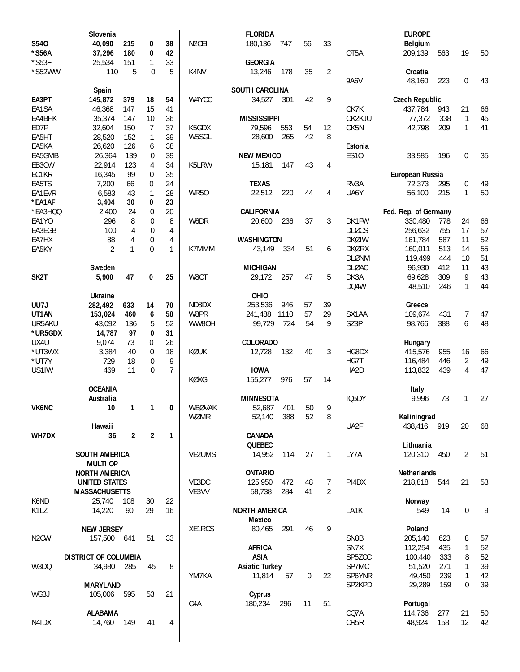|                   | Slovenia                    |                |                  |                |                    | <b>FLORIDA</b>        |            |             |                |                  | <b>EUROPE</b>         |     |                |    |
|-------------------|-----------------------------|----------------|------------------|----------------|--------------------|-----------------------|------------|-------------|----------------|------------------|-----------------------|-----|----------------|----|
| S540              | 40,090                      | 215            | 0                | 38             | N <sub>2</sub> CEI | 180,136               | 747        | 56          | 33             |                  | Belgium               |     |                |    |
| *S56A             | 37,296                      | 180            | 0                | 42             |                    |                       |            |             |                | OT5A             | 209,139               | 563 | 19             | 50 |
| $*$ S53F          | 25,534                      | 151            | 1                | 33             |                    | <b>GEORGIA</b>        |            |             |                |                  |                       |     |                |    |
| *S52WW            | 110                         | 5              | $\mathbf 0$      | 5              | K4NV               | 13,246                | 178        | 35          | $\overline{2}$ |                  | Croatia               |     |                |    |
|                   |                             |                |                  |                |                    |                       |            |             |                | <b>9A6V</b>      | 48,160                | 223 | 0              | 43 |
|                   | Spain                       |                |                  |                |                    | <b>SOUTH CAROLINA</b> |            |             |                |                  |                       |     |                |    |
| EA3PT             | 145,872                     | 379            | 18               | 54             | W4YCC              | 34,527                | 301        | 42          | 9              |                  | <b>Czech Republic</b> |     |                |    |
| EA1SA             | 46,368                      | 147            | 15               | 41             |                    |                       |            |             |                | OK7K             | 437,784               | 943 | 21             | 66 |
| EA4BHK            | 35,374                      | 147            | 10               | 36             |                    | <b>MISSISSIPPI</b>    |            |             |                | OK2KJU           | 77,372                | 338 | $\mathbf{1}$   | 45 |
| ED7P              | 32,604                      | 150            | 7                | 37             | K5GDX              | 79,596                | 553        | 54          | 12             | OK <sub>5N</sub> | 42,798                | 209 | $\mathbf{1}$   | 41 |
| EA5HT             | 28,520                      | 152            | 1                | 39             | W5SGL              | 28,600                | 265        | 42          | 8              |                  |                       |     |                |    |
| EA5KA             | 26,620                      | 126            | 6                | 38             |                    |                       |            |             |                | Estonia          |                       |     |                |    |
| EA5GMB            | 26,364                      | 139            | 0                | 39             |                    | <b>NEW MEXICO</b>     |            |             |                | <b>ES10</b>      | 33,985                | 196 | $\overline{0}$ | 35 |
| EB3CW             | 22,914                      | 123            | 4                | 34             | K5LRW              | 15,181                | 147        | 43          | 4              |                  |                       |     |                |    |
| EC1KR             | 16,345                      | 99             | 0                | 35             |                    |                       |            |             |                |                  | European Russia       |     |                |    |
| EA5TS             | 7,200                       | 66             | 0                | 24             |                    | <b>TEXAS</b>          |            |             |                | RV3A             | 72,373                | 295 | 0              | 49 |
| EA1EVR            | 6,583                       | 43             | $\mathbf{1}$     | 28             | <b>WR50</b>        | 22,512                | 220        | 44          | 4              | UA6YI            | 56,100                | 215 | 1              | 50 |
| *EA1AF            | 3,404                       | 30             | 0                | 23             |                    |                       |            |             |                |                  |                       |     |                |    |
| *EA3HQQ           | 2,400                       | 24             | $\mathbf 0$      | 20             |                    | <b>CALIFORNIA</b>     |            |             |                |                  | Fed. Rep. of Germany  |     |                |    |
| EA1YO             | 296                         | 8              | $\boldsymbol{0}$ | 8              | W6DR               | 20,600                | 236        | 37          | 3              | DK1FW            | 330,480               | 778 | 24             | 66 |
| EA3EGB            | 100                         | $\overline{4}$ | $\mathbf 0$      | 4              |                    |                       |            |             |                | <b>DLØCS</b>     | 256,632               | 755 | 17             | 57 |
| EA7HX             | 88                          | $\overline{4}$ | $\boldsymbol{0}$ | 4              |                    | <b>WASHINGTON</b>     |            |             |                | <b>DKØIW</b>     | 161,784               | 587 | 11             | 52 |
| EA5KY             | $\overline{2}$              | 1              | $\mathbf{0}$     | $\mathbf{1}$   | K7MMM              | 43,149                | 334        | 51          | 6              | <b>DKØRX</b>     | 160,011               | 513 | 14             | 55 |
|                   |                             |                |                  |                |                    |                       |            |             |                | <b>DLØNM</b>     | 119,499               | 444 | 10             | 51 |
|                   | Sweden                      |                |                  |                |                    | <b>MICHIGAN</b>       |            |             |                | <b>DLØAC</b>     | 96,930                | 412 | 11             | 43 |
| SK <sub>2</sub> T | 5,900                       | 47             | 0                | 25             | W8CT               | 29,172                | 257        | 47          | 5              | DK3A             | 69,628                | 309 | 9              | 43 |
|                   |                             |                |                  |                |                    |                       |            |             |                | DQ4W             | 48,510                | 246 | $\mathbf{1}$   | 44 |
|                   | <b>Ukraine</b>              |                |                  |                |                    | OHIO                  |            |             |                |                  |                       |     |                |    |
| UU7J              | 282,492                     | 633            | 14               | 70             | ND8DX              | 253,536               | 946        | 57          | 39             |                  | Greece                |     |                |    |
| UT1AN             | 153,024                     | 460            | 6                | 58             | W8PR               | 241,488               | 1110       | 57          | 29             | SX1AA            | 109,674               | 431 | 7              | 47 |
| UR5AKU            | 43,092                      | 136            | 5                | 52             | WW80H              | 99,729                | 724        | 54          | 9              | SZ3P             | 98,766                | 388 | 6              | 48 |
| *UR5GDX           | 14,787                      | 97             | 0                | 31             |                    |                       |            |             |                |                  |                       |     |                |    |
| UX4U              | 9,074                       | 73             | 0                | 26             |                    | <b>COLORADO</b>       |            |             |                |                  | Hungary               |     |                |    |
| *UT3WX            | 3,384                       | 40             | $\mathbf{0}$     | 18             | KØUK               | 12,728                | 132        | 40          | 3              | HG8DX            | 415,576               | 955 | 16             | 66 |
| *UT7Y             | 729                         | 18             | $\boldsymbol{0}$ | 9              |                    |                       |            |             |                | HG7T             | 116,484               | 446 | 2              | 49 |
| US1IW             | 469                         | 11             | 0                | $\overline{7}$ |                    | <b>IOWA</b>           |            |             |                | HA2D             | 113,832               | 439 | 4              | 47 |
|                   | <b>OCEANIA</b>              |                |                  |                | KØXG               | 155,277               | 976        | 57          | 14             |                  |                       |     |                |    |
|                   |                             |                |                  |                |                    |                       |            |             |                |                  | Italy                 |     |                |    |
|                   | Australia                   |                |                  |                | WBØVAK             | <b>MINNESOTA</b>      |            |             |                | IQ5DY            | 9,996                 | 73  | 1              | 27 |
| <b>VK6NC</b>      | 10                          | 1              | 1                | 0              | <b>WØMR</b>        | 52,687<br>52,140      | 401<br>388 | 50<br>52    | 9<br>8         |                  | Kaliningrad           |     |                |    |
|                   |                             |                |                  |                |                    |                       |            |             |                |                  | 438,416 919           |     |                |    |
| WH7DX             | Hawaii                      | $\overline{2}$ | $\overline{2}$   | $\mathbf{1}$   |                    | CANADA                |            |             |                | UA2F             |                       |     | 20             | 68 |
|                   | 36                          |                |                  |                |                    | <b>QUEBEC</b>         |            |             |                |                  | Lithuania             |     |                |    |
|                   | <b>SOUTH AMERICA</b>        |                |                  |                | VE2UMS             | 14,952                | 114        | 27          | 1              | LY7A             | 120,310               | 450 | 2              | 51 |
|                   | <b>MULTI OP</b>             |                |                  |                |                    |                       |            |             |                |                  |                       |     |                |    |
|                   | <b>NORTH AMERICA</b>        |                |                  |                |                    | <b>ONTARIO</b>        |            |             |                |                  | Netherlands           |     |                |    |
|                   | <b>UNITED STATES</b>        |                |                  |                | VE3DC              | 125,950               | 472        | 48          | 7              | PI4DX            | 218,818               | 544 | 21             | 53 |
|                   | <b>MASSACHUSETTS</b>        |                |                  |                | VE3VV              | 58,738                | 284        | 41          | 2              |                  |                       |     |                |    |
| K6ND              | 25,740                      | 108            | 30               | 22             |                    |                       |            |             |                |                  | Norway                |     |                |    |
| K1LZ              | 14,220                      | 90             | 29               | 16             |                    | <b>NORTH AMERICA</b>  |            |             |                | LA1K             | 549                   | 14  | $\mathbf{0}$   | 9  |
|                   |                             |                |                  |                |                    | <b>Mexico</b>         |            |             |                |                  |                       |     |                |    |
|                   | <b>NEW JERSEY</b>           |                |                  |                | XE1RCS             | 80,465                | 291        | 46          | 9              |                  | Poland                |     |                |    |
| N <sub>2</sub> CW | 157,500                     | 641            | 51               | 33             |                    |                       |            |             |                | SN8B             | 205,140               | 623 | 8              | 57 |
|                   |                             |                |                  |                |                    | <b>AFRICA</b>         |            |             |                | SN7X             | 112,254               | 435 | $\mathbf{1}$   | 52 |
|                   | <b>DISTRICT OF COLUMBIA</b> |                |                  |                |                    | <b>ASIA</b>           |            |             |                | SP5ZCC           | 100,440               | 333 | 8              | 52 |
| W3DQ              | 34,980 285                  |                | 45               | 8              |                    | <b>Asiatic Turkey</b> |            |             |                | SP7MC            | 51,520                | 271 | $\mathbf{1}$   | 39 |
|                   |                             |                |                  |                | YM7KA              | 11,814                | 57         | $\mathbf 0$ | 22             | SP6YNR           | 49,450                | 239 | 1              | 42 |
|                   | <b>MARYLAND</b>             |                |                  |                |                    |                       |            |             |                | SP2KPD           | 29,289                | 159 | 0              | 39 |
| WG3J              | 105,006                     | 595            | 53               | 21             |                    | Cyprus                |            |             |                |                  |                       |     |                |    |
|                   |                             |                |                  |                | C4A                | 180,234               | 296        | 11          | 51             |                  | Portugal              |     |                |    |
|                   | <b>ALABAMA</b>              |                |                  |                |                    |                       |            |             |                | CQ7A             | 114,736               | 277 | 21             | 50 |
| N4IDX             | 14,760                      | 149            | 41               | 4              |                    |                       |            |             |                | CR5R             | 48,924                | 158 | 12             | 42 |
|                   |                             |                |                  |                |                    |                       |            |             |                |                  |                       |     |                |    |
|                   |                             |                |                  |                |                    |                       |            |             |                |                  |                       |     |                |    |